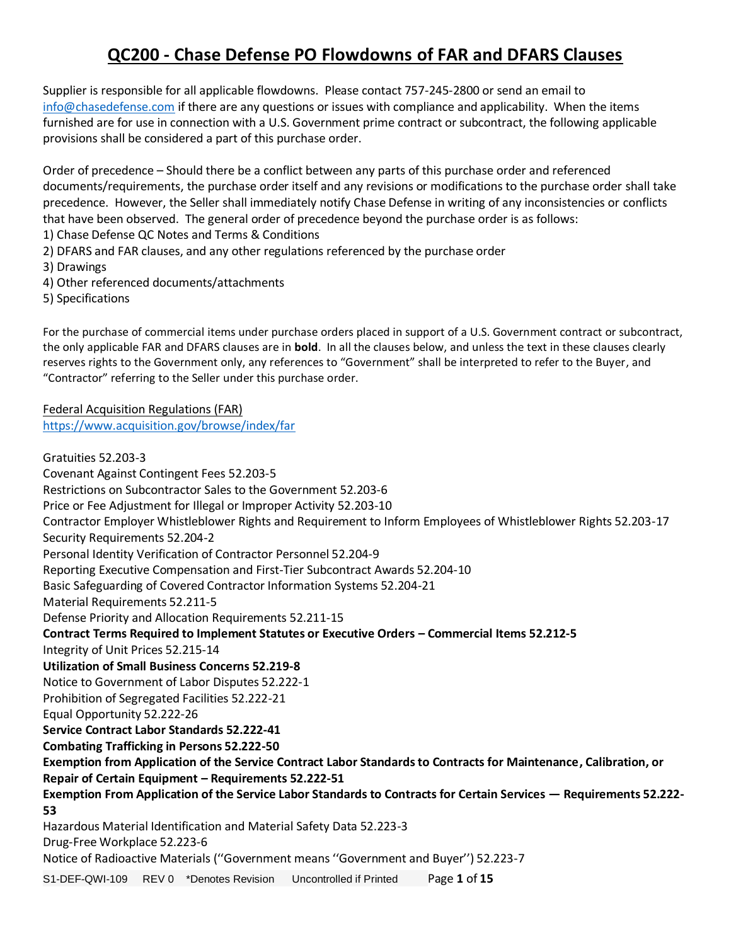## **QC200 - Chase Defense PO Flowdowns of FAR and DFARS Clauses**

Supplier is responsible for all applicable flowdowns. Please contact 757-245-2800 or send an email to [info@chasedefense.com](mailto:info@chasedefense.com) if there are any questions or issues with compliance and applicability. When the items furnished are for use in connection with a U.S. Government prime contract or subcontract, the following applicable provisions shall be considered a part of this purchase order.

Order of precedence – Should there be a conflict between any parts of this purchase order and referenced documents/requirements, the purchase order itself and any revisions or modifications to the purchase order shall take precedence. However, the Seller shall immediately notify Chase Defense in writing of any inconsistencies or conflicts that have been observed. The general order of precedence beyond the purchase order is as follows:

1) Chase Defense QC Notes and Terms & Conditions

- 2) DFARS and FAR clauses, and any other regulations referenced by the purchase order
- 3) Drawings
- 4) Other referenced documents/attachments
- 5) Specifications

For the purchase of commercial items under purchase orders placed in support of a U.S. Government contract or subcontract, the only applicable FAR and DFARS clauses are in **bold**. In all the clauses below, and unless the text in these clauses clearly reserves rights to the Government only, any references to "Government" shall be interpreted to refer to the Buyer, and "Contractor" referring to the Seller under this purchase order.

Federal Acquisition Regulations (FAR) <https://www.acquisition.gov/browse/index/far>

Gratuities 52.203-3 Covenant Against Contingent Fees 52.203-5 Restrictions on Subcontractor Sales to the Government 52.203-6 Price or Fee Adjustment for Illegal or Improper Activity 52.203-10 Contractor Employer Whistleblower Rights and Requirement to Inform Employees of Whistleblower Rights 52.203-17 Security Requirements 52.204-2 Personal Identity Verification of Contractor Personnel 52.204-9 Reporting Executive Compensation and First-Tier Subcontract Awards 52.204-10 Basic Safeguarding of Covered Contractor Information Systems 52.204-21 Material Requirements 52.211-5 Defense Priority and Allocation Requirements 52.211-15 **Contract Terms Required to Implement Statutes or Executive Orders – Commercial Items 52.212-5** Integrity of Unit Prices 52.215-14 **Utilization of Small Business Concerns 52.219-8** Notice to Government of Labor Disputes 52.222-1 Prohibition of Segregated Facilities 52.222-21 Equal Opportunity 52.222-26 **Service Contract Labor Standards 52.222-41 Combating Trafficking in Persons 52.222-50 Exemption from Application of the Service Contract Labor Standards to Contracts for Maintenance, Calibration, or Repair of Certain Equipment – Requirements 52.222-51 Exemption From Application of the Service Labor Standards to Contracts for Certain Services — Requirements 52.222- 53** Hazardous Material Identification and Material Safety Data 52.223-3 Drug-Free Workplace 52.223-6 Notice of Radioactive Materials (''Government means ''Government and Buyer'') 52.223-7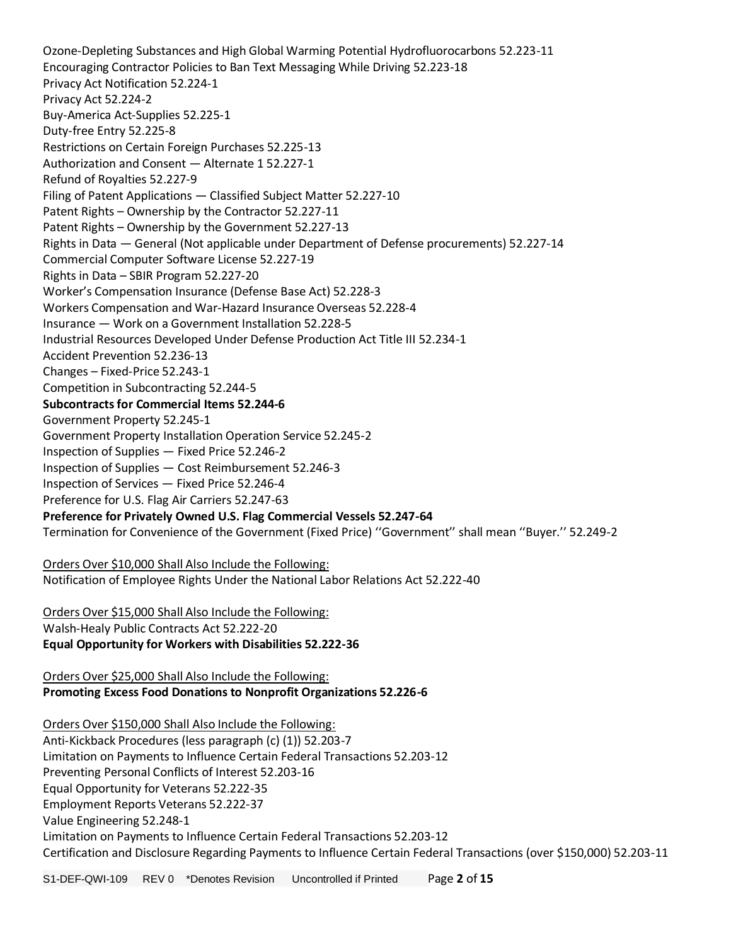Ozone-Depleting Substances and High Global Warming Potential Hydrofluorocarbons 52.223-11 Encouraging Contractor Policies to Ban Text Messaging While Driving 52.223-18 Privacy Act Notification 52.224-1 Privacy Act 52.224-2 Buy-America Act-Supplies 52.225-1 Duty-free Entry 52.225-8 Restrictions on Certain Foreign Purchases 52.225-13 Authorization and Consent — Alternate 1 52.227-1 Refund of Royalties 52.227-9 Filing of Patent Applications — Classified Subject Matter 52.227-10 Patent Rights – Ownership by the Contractor 52.227-11 Patent Rights – Ownership by the Government 52.227-13 Rights in Data — General (Not applicable under Department of Defense procurements) 52.227-14 Commercial Computer Software License 52.227-19 Rights in Data – SBIR Program 52.227-20 Worker's Compensation Insurance (Defense Base Act) 52.228-3 Workers Compensation and War-Hazard Insurance Overseas 52.228-4 Insurance — Work on a Government Installation 52.228-5 Industrial Resources Developed Under Defense Production Act Title III 52.234-1 Accident Prevention 52.236-13 Changes – Fixed-Price 52.243-1 Competition in Subcontracting 52.244-5 **Subcontracts for Commercial Items 52.244-6** Government Property 52.245-1 Government Property Installation Operation Service 52.245-2 Inspection of Supplies — Fixed Price 52.246-2 Inspection of Supplies — Cost Reimbursement 52.246-3 Inspection of Services — Fixed Price 52.246-4 Preference for U.S. Flag Air Carriers 52.247-63 **Preference for Privately Owned U.S. Flag Commercial Vessels 52.247-64** Termination for Convenience of the Government (Fixed Price) ''Government'' shall mean ''Buyer.'' 52.249-2 Orders Over \$10,000 Shall Also Include the Following: Notification of Employee Rights Under the National Labor Relations Act 52.222-40 Orders Over \$15,000 Shall Also Include the Following: Walsh-Healy Public Contracts Act 52.222-20 **Equal Opportunity for Workers with Disabilities 52.222-36** Orders Over \$25,000 Shall Also Include the Following: **Promoting Excess Food Donations to Nonprofit Organizations 52.226-6**

Orders Over \$150,000 Shall Also Include the Following: Anti-Kickback Procedures (less paragraph (c) (1)) 52.203-7 Limitation on Payments to Influence Certain Federal Transactions 52.203-12 Preventing Personal Conflicts of Interest 52.203-16 Equal Opportunity for Veterans 52.222-35 Employment Reports Veterans 52.222-37 Value Engineering 52.248-1 Limitation on Payments to Influence Certain Federal Transactions 52.203-12 Certification and Disclosure Regarding Payments to Influence Certain Federal Transactions (over \$150,000) 52.203-11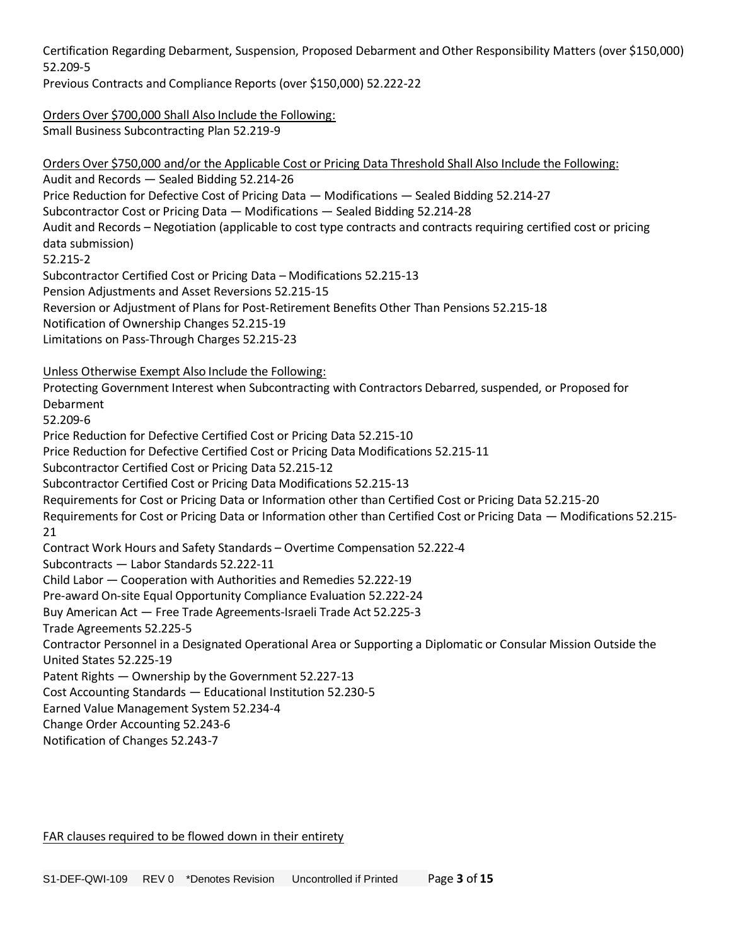Certification Regarding Debarment, Suspension, Proposed Debarment and Other Responsibility Matters (over \$150,000) 52.209-5

Previous Contracts and Compliance Reports (over \$150,000) 52.222-22

Orders Over \$700,000 Shall Also Include the Following: Small Business Subcontracting Plan 52.219-9

Orders Over \$750,000 and/or the Applicable Cost or Pricing Data Threshold Shall Also Include the Following: Audit and Records — Sealed Bidding 52.214-26 Price Reduction for Defective Cost of Pricing Data — Modifications — Sealed Bidding 52.214-27 Subcontractor Cost or Pricing Data — Modifications — Sealed Bidding 52.214-28 Audit and Records – Negotiation (applicable to cost type contracts and contracts requiring certified cost or pricing data submission) 52.215-2 Subcontractor Certified Cost or Pricing Data – Modifications 52.215-13 Pension Adjustments and Asset Reversions 52.215-15 Reversion or Adjustment of Plans for Post-Retirement Benefits Other Than Pensions 52.215-18 Notification of Ownership Changes 52.215-19 Limitations on Pass-Through Charges 52.215-23 Unless Otherwise Exempt Also Include the Following: Protecting Government Interest when Subcontracting with Contractors Debarred, suspended, or Proposed for Debarment 52.209-6 Price Reduction for Defective Certified Cost or Pricing Data 52.215-10 Price Reduction for Defective Certified Cost or Pricing Data Modifications 52.215-11 Subcontractor Certified Cost or Pricing Data 52.215-12 Subcontractor Certified Cost or Pricing Data Modifications 52.215-13 Requirements for Cost or Pricing Data or Information other than Certified Cost or Pricing Data 52.215-20 Requirements for Cost or Pricing Data or Information other than Certified Cost or Pricing Data — Modifications 52.215- 21 Contract Work Hours and Safety Standards – Overtime Compensation 52.222-4 Subcontracts — Labor Standards 52.222-11 Child Labor — Cooperation with Authorities and Remedies 52.222-19 Pre-award On-site Equal Opportunity Compliance Evaluation 52.222-24 Buy American Act — Free Trade Agreements-Israeli Trade Act 52.225-3 Trade Agreements 52.225-5 Contractor Personnel in a Designated Operational Area or Supporting a Diplomatic or Consular Mission Outside the United States 52.225-19 Patent Rights — Ownership by the Government 52.227-13 Cost Accounting Standards — Educational Institution 52.230-5 Earned Value Management System 52.234-4 Change Order Accounting 52.243-6 Notification of Changes 52.243-7

FAR clauses required to be flowed down in their entirety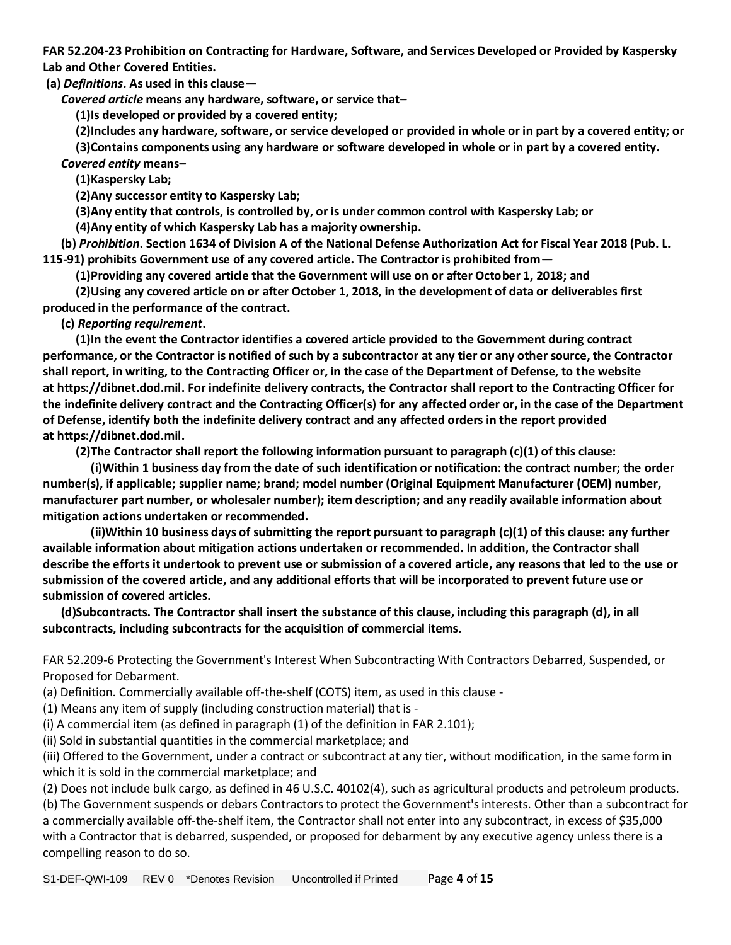**FAR 52.204-23 Prohibition on Contracting for Hardware, Software, and Services Developed or Provided by Kaspersky Lab and Other Covered Entities.**

**(a)** *Definitions***. As used in this clause—**

*Covered article* **means any hardware, software, or service that–**

 **(1)Is developed or provided by a covered entity;**

 **(2)Includes any hardware, software, or service developed or provided in whole or in part by a covered entity; or**

 **(3)Contains components using any hardware or software developed in whole or in part by a covered entity.**

*Covered entity* **means–**

 **(1)Kaspersky Lab;**

 **(2)Any successor entity to Kaspersky Lab;**

 **(3)Any entity that controls, is controlled by, or is under common control with Kaspersky Lab; or**

 **(4)Any entity of which Kaspersky Lab has a majority ownership.**

 **(b)** *Prohibition***. Section 1634 of Division A of the National Defense Authorization Act for Fiscal Year 2018 (Pub. L. 115-91) prohibits Government use of any covered article. The Contractor is prohibited from—**

 **(1)Providing any covered article that the Government will use on or after October 1, 2018; and**

 **(2)Using any covered article on or after October 1, 2018, in the development of data or deliverables first produced in the performance of the contract.**

 **(c)** *Reporting requirement***.**

 **(1)In the event the Contractor identifies a covered article provided to the Government during contract performance, or the Contractor is notified of such by a subcontractor at any tier or any other source, the Contractor shall report, in writing, to the Contracting Officer or, in the case of the Department of Defense, to the website at [https://dibnet.dod.mil.](https://dibnet.dod.mil/) For indefinite delivery contracts, the Contractor shall report to the Contracting Officer for the indefinite delivery contract and the Contracting Officer(s) for any affected order or, in the case of the Department of Defense, identify both the indefinite delivery contract and any affected orders in the report provided at [https://dibnet.dod.mil.](https://dibnet.dod.mil/)**

 **(2)The Contractor shall report the following information pursuant to paragraph (c)(1) of this clause:**

 **(i)Within 1 business day from the date of such identification or notification: the contract number; the order number(s), if applicable; supplier name; brand; model number (Original Equipment Manufacturer (OEM) number, manufacturer part number, or wholesaler number); item description; and any readily available information about mitigation actions undertaken or recommended.**

 **(ii)Within 10 business days of submitting the report pursuant to paragraph (c)(1) of this clause: any further available information about mitigation actions undertaken or recommended. In addition, the Contractor shall describe the efforts it undertook to prevent use or submission of a covered article, any reasons that led to the use or submission of the covered article, and any additional efforts that will be incorporated to prevent future use or submission of covered articles.**

 **(d)Subcontracts. The Contractor shall insert the substance of this clause, including this paragraph (d), in all subcontracts, including subcontracts for the acquisition of commercial items.**

FAR 52.209-6 Protecting the Government's [Interest](https://www.law.cornell.edu/definitions/index.php?width=840&height=800&iframe=true&def_id=a78bd960c6114cc1bd364926762fde33&term_occur=999&term_src=Title:48:Chapter:1:Subchapter:H:Part:52:Subpart:52.2:52.209-6) When Subcontracting With Contractors Debarred, Suspended, or Proposed for Debarment.

(a) Definition. Commercially available off-the-shelf (COTS) item, as used in this clause -

(1) Means any item of supply (including construction material) that is -

(i) A [commercial item](https://www.law.cornell.edu/definitions/index.php?width=840&height=800&iframe=true&def_id=a305ab5754263f8399e95c528a208206&term_occur=999&term_src=Title:48:Chapter:1:Subchapter:H:Part:52:Subpart:52.2:52.209-6) (as defined in paragraph (1) of the [definition](https://www.law.cornell.edu/definitions/index.php?width=840&height=800&iframe=true&def_id=f913668b813a3528a8f5dc53083c0cbf&term_occur=999&term_src=Title:48:Chapter:1:Subchapter:H:Part:52:Subpart:52.2:52.209-6) in [FAR 2.101\)](https://www.law.cornell.edu/cfr/text/48/2.101);

(ii) Sold in substantial quantities in the commercial marketplace; and

(iii) Offered to the Government, under a contract or [subcontract](https://www.law.cornell.edu/definitions/index.php?width=840&height=800&iframe=true&def_id=7cea314917dd2f8d543bb040cbcb13f4&term_occur=999&term_src=Title:48:Chapter:1:Subchapter:H:Part:52:Subpart:52.2:52.209-6) at any tier, without modification, in the same form in which it is sold in the commercial marketplace; and

(2) Does not include bulk cargo, as defined in [46 U.S.C. 40102\(4\),](https://www.law.cornell.edu/uscode/text/46/40102#4) such as agricultural products and petroleum products. (b) The Government suspends or debars Contractors to protect the Government's interests. Other than a [subcontract](https://www.law.cornell.edu/definitions/index.php?width=840&height=800&iframe=true&def_id=7cea314917dd2f8d543bb040cbcb13f4&term_occur=999&term_src=Title:48:Chapter:1:Subchapter:H:Part:52:Subpart:52.2:52.209-6) for a [commercially available off-the-shelf item,](https://www.law.cornell.edu/definitions/index.php?width=840&height=800&iframe=true&def_id=9191bb42ce72f59b8f412992581193c1&term_occur=999&term_src=Title:48:Chapter:1:Subchapter:H:Part:52:Subpart:52.2:52.209-6) the Contractor shall not enter into any [subcontract,](https://www.law.cornell.edu/definitions/index.php?width=840&height=800&iframe=true&def_id=7cea314917dd2f8d543bb040cbcb13f4&term_occur=999&term_src=Title:48:Chapter:1:Subchapter:H:Part:52:Subpart:52.2:52.209-6) in excess of \$35,000 with a Contractor that is debarred, suspended, or proposed for debarment by any [executive](https://www.law.cornell.edu/definitions/index.php?width=840&height=800&iframe=true&def_id=20337544af3a10f04d4d30c9b5c0af0b&term_occur=999&term_src=Title:48:Chapter:1:Subchapter:H:Part:52:Subpart:52.2:52.209-6) [agency](https://www.law.cornell.edu/definitions/index.php?width=840&height=800&iframe=true&def_id=ff960c003974a24dcadeba08a13a9d4c&term_occur=999&term_src=Title:48:Chapter:1:Subchapter:H:Part:52:Subpart:52.2:52.209-6) unless there is a compelling reason to do so.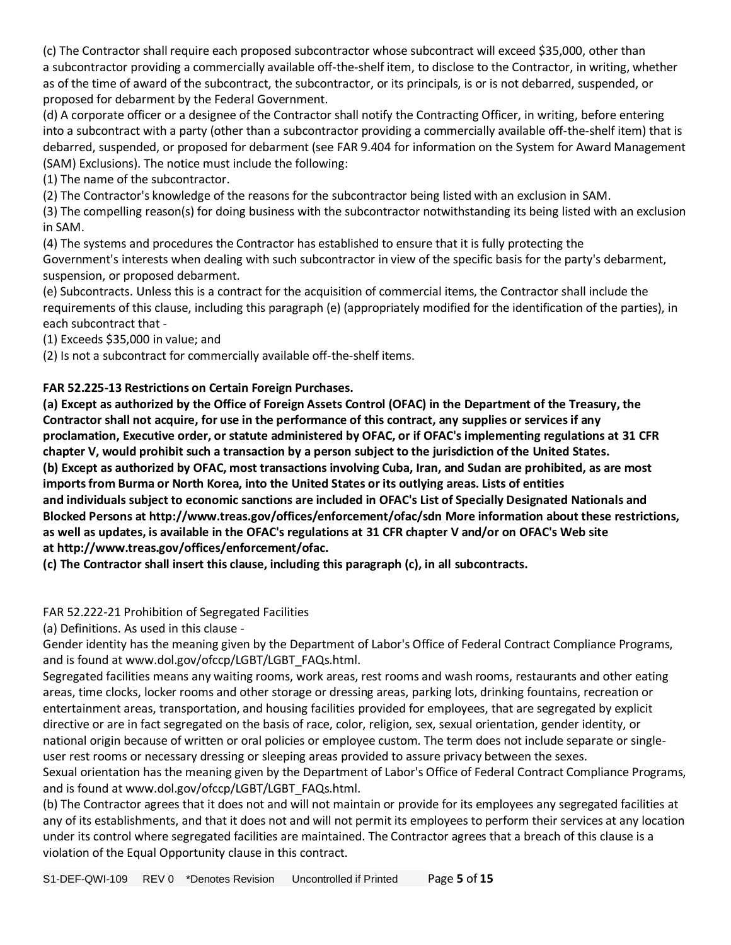(c) The Contractor shall require each proposed [subcontractor](https://www.law.cornell.edu/definitions/index.php?width=840&height=800&iframe=true&def_id=edb84a8811960cf98df365b1778ce743&term_occur=999&term_src=Title:48:Chapter:1:Subchapter:H:Part:52:Subpart:52.2:52.209-6) whose [subcontract](https://www.law.cornell.edu/definitions/index.php?width=840&height=800&iframe=true&def_id=7cea314917dd2f8d543bb040cbcb13f4&term_occur=999&term_src=Title:48:Chapter:1:Subchapter:H:Part:52:Subpart:52.2:52.209-6) will exceed \$35,000, other than a [subcontractor](https://www.law.cornell.edu/definitions/index.php?width=840&height=800&iframe=true&def_id=edb84a8811960cf98df365b1778ce743&term_occur=999&term_src=Title:48:Chapter:1:Subchapter:H:Part:52:Subpart:52.2:52.209-6) providing a [commercially available off-the-shelf item,](https://www.law.cornell.edu/definitions/index.php?width=840&height=800&iframe=true&def_id=9191bb42ce72f59b8f412992581193c1&term_occur=999&term_src=Title:48:Chapter:1:Subchapter:H:Part:52:Subpart:52.2:52.209-6) to disclose to the Contractor, in writing, whether as of the time of award of the [subcontract,](https://www.law.cornell.edu/definitions/index.php?width=840&height=800&iframe=true&def_id=7cea314917dd2f8d543bb040cbcb13f4&term_occur=999&term_src=Title:48:Chapter:1:Subchapter:H:Part:52:Subpart:52.2:52.209-6) the [subcontractor,](https://www.law.cornell.edu/definitions/index.php?width=840&height=800&iframe=true&def_id=edb84a8811960cf98df365b1778ce743&term_occur=999&term_src=Title:48:Chapter:1:Subchapter:H:Part:52:Subpart:52.2:52.209-6) or its principals, is or is not debarred, suspended, or proposed for debarment by the Federal Government.

(d) A corporate officer or a designee of the Contractor shall notify the Contracting Officer, in writing, before entering into a [subcontract](https://www.law.cornell.edu/definitions/index.php?width=840&height=800&iframe=true&def_id=7cea314917dd2f8d543bb040cbcb13f4&term_occur=999&term_src=Title:48:Chapter:1:Subchapter:H:Part:52:Subpart:52.2:52.209-6) with a party (other than a [subcontractor](https://www.law.cornell.edu/definitions/index.php?width=840&height=800&iframe=true&def_id=edb84a8811960cf98df365b1778ce743&term_occur=999&term_src=Title:48:Chapter:1:Subchapter:H:Part:52:Subpart:52.2:52.209-6) providing a commercially available off-the-shelf item) that is debarred, suspended, or proposed for debarment (see [FAR 9.404](https://www.law.cornell.edu/cfr/text/48/9.404) for [information](https://www.law.cornell.edu/definitions/index.php?width=840&height=800&iframe=true&def_id=b1fec257bbbf9339978b0004042258d1&term_occur=999&term_src=Title:48:Chapter:1:Subchapter:H:Part:52:Subpart:52.2:52.209-6) on the [System for Award Management](https://www.law.cornell.edu/definitions/index.php?width=840&height=800&iframe=true&def_id=f9c411036987ae8cc04997585ee5cd23&term_occur=999&term_src=Title:48:Chapter:1:Subchapter:H:Part:52:Subpart:52.2:52.209-6)  [\(SAM\)](https://www.law.cornell.edu/definitions/index.php?width=840&height=800&iframe=true&def_id=f9c411036987ae8cc04997585ee5cd23&term_occur=999&term_src=Title:48:Chapter:1:Subchapter:H:Part:52:Subpart:52.2:52.209-6) Exclusions). The notice must include the following:

(1) The name of the [subcontractor.](https://www.law.cornell.edu/definitions/index.php?width=840&height=800&iframe=true&def_id=edb84a8811960cf98df365b1778ce743&term_occur=999&term_src=Title:48:Chapter:1:Subchapter:H:Part:52:Subpart:52.2:52.209-6)

(2) The Contractor's knowledge of the reasons for the [subcontractor](https://www.law.cornell.edu/definitions/index.php?width=840&height=800&iframe=true&def_id=edb84a8811960cf98df365b1778ce743&term_occur=999&term_src=Title:48:Chapter:1:Subchapter:H:Part:52:Subpart:52.2:52.209-6) being listed with an exclusion in [SAM.](https://www.law.cornell.edu/definitions/index.php?width=840&height=800&iframe=true&def_id=6a2f66aa4e09158dda09977b71b089c6&term_occur=999&term_src=Title:48:Chapter:1:Subchapter:H:Part:52:Subpart:52.2:52.209-6)

(3) The compelling reason(s) for doing business with the [subcontractor](https://www.law.cornell.edu/definitions/index.php?width=840&height=800&iframe=true&def_id=edb84a8811960cf98df365b1778ce743&term_occur=999&term_src=Title:48:Chapter:1:Subchapter:H:Part:52:Subpart:52.2:52.209-6) notwithstanding its being listed with an exclusion in [SAM.](https://www.law.cornell.edu/definitions/index.php?width=840&height=800&iframe=true&def_id=6a2f66aa4e09158dda09977b71b089c6&term_occur=999&term_src=Title:48:Chapter:1:Subchapter:H:Part:52:Subpart:52.2:52.209-6)

(4) The systems and procedures the Contractor has established to ensure that it is fully protecting the Government's [interests](https://www.law.cornell.edu/definitions/index.php?width=840&height=800&iframe=true&def_id=a78bd960c6114cc1bd364926762fde33&term_occur=999&term_src=Title:48:Chapter:1:Subchapter:H:Part:52:Subpart:52.2:52.209-6) when dealing with such [subcontractor](https://www.law.cornell.edu/definitions/index.php?width=840&height=800&iframe=true&def_id=edb84a8811960cf98df365b1778ce743&term_occur=999&term_src=Title:48:Chapter:1:Subchapter:H:Part:52:Subpart:52.2:52.209-6) in view of the specific basis for the party's debarment, suspension, or proposed debarment.

(e) Subcontracts. Unless this is a contract for the acquisition of commercial items, the Contractor shall include the requirements of this clause, including this paragraph (e) (appropriately modified for the identification of the parties), in each [subcontract](https://www.law.cornell.edu/definitions/index.php?width=840&height=800&iframe=true&def_id=7cea314917dd2f8d543bb040cbcb13f4&term_occur=999&term_src=Title:48:Chapter:1:Subchapter:H:Part:52:Subpart:52.2:52.209-6) that -

(1) Exceeds \$35,000 in value; and

(2) Is not a [subcontract](https://www.law.cornell.edu/definitions/index.php?width=840&height=800&iframe=true&def_id=7cea314917dd2f8d543bb040cbcb13f4&term_occur=999&term_src=Title:48:Chapter:1:Subchapter:H:Part:52:Subpart:52.2:52.209-6) for commercially available off-the-shelf items.

#### **FAR 52.225-13 Restrictions on Certain Foreign Purchases.**

**(a) Except as authorized by the Office of Foreign Assets Control (OFAC) in the Department of the Treasury, the Contractor shall not acquire, for use in the performance of this contract, any [supplies](https://www.law.cornell.edu/definitions/index.php?width=840&height=800&iframe=true&def_id=4bcb6f2f2be5dbc175fd9e8734a41145&term_occur=999&term_src=Title:48:Chapter:1:Subchapter:H:Part:52:Subpart:52.2:52.225-13) or services if any proclamation, [Executive](https://www.law.cornell.edu/definitions/index.php?width=840&height=800&iframe=true&def_id=20337544af3a10f04d4d30c9b5c0af0b&term_occur=999&term_src=Title:48:Chapter:1:Subchapter:H:Part:52:Subpart:52.2:52.225-13) order, or statute administered by OFAC, or if OFAC's implementing regulations at [31 CFR](https://www.law.cornell.edu/cfr/text/31/chapter-V)  [chapter V,](https://www.law.cornell.edu/cfr/text/31/chapter-V) would prohibit such a transaction by a [person](https://www.law.cornell.edu/definitions/index.php?width=840&height=800&iframe=true&def_id=6060c961bb42eeccb767c4ab90545cee&term_occur=999&term_src=Title:48:Chapter:1:Subchapter:H:Part:52:Subpart:52.2:52.225-13) subject to the jurisdiction of the [United States.](https://www.law.cornell.edu/definitions/index.php?width=840&height=800&iframe=true&def_id=05798b00227a9a3cb859ce4e18bcc650&term_occur=999&term_src=Title:48:Chapter:1:Subchapter:H:Part:52:Subpart:52.2:52.225-13) (b) Except as authorized by OFAC, most transactions involving Cuba, Iran, and Sudan are prohibited, as are most imports from Burma or North Korea, into the [United States](https://www.law.cornell.edu/definitions/index.php?width=840&height=800&iframe=true&def_id=05798b00227a9a3cb859ce4e18bcc650&term_occur=999&term_src=Title:48:Chapter:1:Subchapter:H:Part:52:Subpart:52.2:52.225-13) or its outlying areas. Lists of entities and [individuals](https://www.law.cornell.edu/definitions/index.php?width=840&height=800&iframe=true&def_id=d118eac601f1059ba9e57006ad7257e8&term_occur=999&term_src=Title:48:Chapter:1:Subchapter:H:Part:52:Subpart:52.2:52.225-13) subject to economic sanctions are included in OFAC's List of Specially Designated Nationals and Blocked [Persons](https://www.law.cornell.edu/definitions/index.php?width=840&height=800&iframe=true&def_id=6060c961bb42eeccb767c4ab90545cee&term_occur=999&term_src=Title:48:Chapter:1:Subchapter:H:Part:52:Subpart:52.2:52.225-13) at http://www.treas.gov/offices/enforcement/ofac/sdn More [information](https://www.law.cornell.edu/definitions/index.php?width=840&height=800&iframe=true&def_id=b1fec257bbbf9339978b0004042258d1&term_occur=999&term_src=Title:48:Chapter:1:Subchapter:H:Part:52:Subpart:52.2:52.225-13) about these restrictions, as well as updates, is available in the OFAC's regulations at [31 CFR chapter V](https://www.law.cornell.edu/cfr/text/31/chapter-V) and/or on OFAC's Web site at http://www.treas.gov/offices/enforcement/ofac.**

**(c) The Contractor shall insert this clause, including this paragraph (c), in all [subcontracts.](https://www.law.cornell.edu/definitions/index.php?width=840&height=800&iframe=true&def_id=056dcd6364e0edfc3155fcbfe5834711&term_occur=999&term_src=Title:48:Chapter:1:Subchapter:H:Part:52:Subpart:52.2:52.225-13)**

#### FAR 52.222-21 Prohibition of Segregated Facilities

(a) Definitions. As used in this clause -

Gender identity has the meaning given by the Department of Labor's Office of Federal Contract Compliance Programs, and is found at www.dol.gov/ofccp/LGBT/LGBT\_FAQs.html.

Segregated facilities means any waiting rooms, [work](https://www.law.cornell.edu/definitions/index.php?width=840&height=800&iframe=true&def_id=4e844c537457149a27a94427b43e7320&term_occur=999&term_src=Title:48:Chapter:1:Subchapter:H:Part:52:Subpart:52.2:52.222-21) areas, rest rooms and wash rooms, restaurants and other eating areas, time clocks, locker rooms and other storage or dressing areas, parking lots, drinking fountains, recreation or entertainment areas, transportation, and housing facilities [provided](https://www.law.cornell.edu/definitions/index.php?width=840&height=800&iframe=true&def_id=80fb588108eda34822560ae27fdc9a0d&term_occur=999&term_src=Title:48:Chapter:1:Subchapter:H:Part:52:Subpart:52.2:52.222-21) for [employees,](https://www.law.cornell.edu/definitions/index.php?width=840&height=800&iframe=true&def_id=195593d775cea6a32bc0267306777b5c&term_occur=999&term_src=Title:48:Chapter:1:Subchapter:H:Part:52:Subpart:52.2:52.222-21) that are segregated by explicit directive or are in fact segregated on the basis of race, color, religion, sex, sexual orientation, gender identity, or national origin because of written or oral policies or [employee](https://www.law.cornell.edu/definitions/index.php?width=840&height=800&iframe=true&def_id=195593d775cea6a32bc0267306777b5c&term_occur=999&term_src=Title:48:Chapter:1:Subchapter:H:Part:52:Subpart:52.2:52.222-21) custom. The term does not include separate or singleuser rest rooms or necessary dressing or sleeping areas [provided](https://www.law.cornell.edu/definitions/index.php?width=840&height=800&iframe=true&def_id=80fb588108eda34822560ae27fdc9a0d&term_occur=999&term_src=Title:48:Chapter:1:Subchapter:H:Part:52:Subpart:52.2:52.222-21) to assure privacy between the sexes.

Sexual orientation has the meaning given by the Department of Labor's Office of Federal Contract Compliance Programs, and is found at www.dol.gov/ofccp/LGBT/LGBT\_FAQs.html.

(b) The Contractor agrees that it does not and will not maintain or [provide](https://www.law.cornell.edu/definitions/index.php?width=840&height=800&iframe=true&def_id=80fb588108eda34822560ae27fdc9a0d&term_occur=999&term_src=Title:48:Chapter:1:Subchapter:H:Part:52:Subpart:52.2:52.222-21) for its [employees](https://www.law.cornell.edu/definitions/index.php?width=840&height=800&iframe=true&def_id=195593d775cea6a32bc0267306777b5c&term_occur=999&term_src=Title:48:Chapter:1:Subchapter:H:Part:52:Subpart:52.2:52.222-21) any [segregated facilities](https://www.law.cornell.edu/definitions/index.php?width=840&height=800&iframe=true&def_id=e1370dd4fe912065d082550f0d7775e7&term_occur=999&term_src=Title:48:Chapter:1:Subchapter:H:Part:52:Subpart:52.2:52.222-21) at any of its establishments, and that it does not and will not permit its [employees](https://www.law.cornell.edu/definitions/index.php?width=840&height=800&iframe=true&def_id=195593d775cea6a32bc0267306777b5c&term_occur=999&term_src=Title:48:Chapter:1:Subchapter:H:Part:52:Subpart:52.2:52.222-21) to perform their services at any location under its control where [segregated facilities](https://www.law.cornell.edu/definitions/index.php?width=840&height=800&iframe=true&def_id=e1370dd4fe912065d082550f0d7775e7&term_occur=999&term_src=Title:48:Chapter:1:Subchapter:H:Part:52:Subpart:52.2:52.222-21) are maintained. The Contractor agrees that a breach of this clause is a violation of the Equal Opportunity clause in this contract.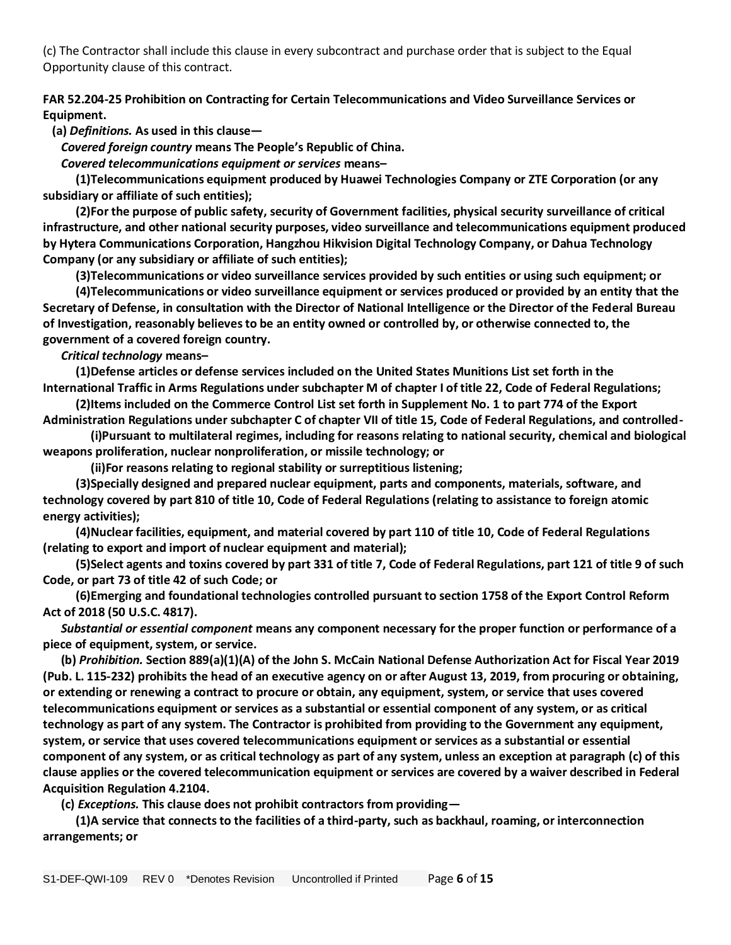(c) The Contractor shall include this clause in every [subcontract](https://www.law.cornell.edu/definitions/index.php?width=840&height=800&iframe=true&def_id=7cea314917dd2f8d543bb040cbcb13f4&term_occur=999&term_src=Title:48:Chapter:1:Subchapter:H:Part:52:Subpart:52.2:52.222-21) and purchase order that is subject to the Equal Opportunity clause of this contract.

**FAR 52.204-25 Prohibition on Contracting for Certain Telecommunications and Video Surveillance Services or Equipment.**

 **(a)** *Definitions.* **As used in this clause—**

*Covered foreign country* **means The People's Republic of China.**

*Covered telecommunications equipment or services* **means–**

 **(1)Telecommunications equipment produced by Huawei Technologies Company or ZTE Corporation (or any subsidiary or affiliate of such entities);**

 **(2)For the purpose of public safety, security of Government facilities, physical security surveillance of critical infrastructure, and other national security purposes, video surveillance and telecommunications equipment produced by Hytera Communications Corporation, Hangzhou Hikvision Digital Technology Company, or Dahua Technology Company (or any subsidiary or affiliate of such entities);**

 **(3)Telecommunications or video surveillance services provided by such entities or using such equipment; or**

 **(4)Telecommunications or video surveillance equipment or services produced or provided by an entity that the Secretary of Defense, in consultation with the Director of National Intelligence or the Director of the Federal Bureau of Investigation, reasonably believes to be an entity owned or controlled by, or otherwise connected to, the government of a covered foreign country.**

*Critical technology* **means–**

 **(1)Defense articles or defense services included on the United States Munitions List set forth in the International Traffic in Arms Regulations under subchapter M of chapter I of title 22, Code of Federal Regulations;**

 **(2)Items included on the Commerce Control List set forth in Supplement No. 1 to part 774 of the Export Administration Regulations under subchapter C of chapter VII of title 15, Code of Federal Regulations, and controlled-**

 **(i)Pursuant to multilateral regimes, including for reasons relating to national security, chemical and biological weapons proliferation, nuclear nonproliferation, or missile technology; or**

 **(ii)For reasons relating to regional stability or surreptitious listening;**

 **(3)Specially designed and prepared nuclear equipment, parts and components, materials, software, and technology covered by part 810 of title 10, Code of Federal Regulations (relating to assistance to foreign atomic energy activities);**

 **(4)Nuclear facilities, equipment, and material covered by part 110 of title 10, Code of Federal Regulations (relating to export and import of nuclear equipment and material);**

 **(5)Select agents and toxins covered by part 331 of title 7, Code of Federal Regulations, part 121 of title 9 of such Code, or part 73 of title 42 of such Code; or**

 **(6)Emerging and foundational technologies controlled pursuant to section 1758 of the Export Control Reform Act of 2018 (50 U.S.C. 4817).**

*Substantial or essential component* **means any component necessary for the proper function or performance of a piece of equipment, system, or service.**

 **(b)** *Prohibition.* **Section 889(a)(1)(A) of the John S. McCain National Defense Authorization Act for Fiscal Year 2019 (Pub. L. 115-232) prohibits the head of an executive agency on or after August 13, 2019, from procuring or obtaining, or extending or renewing a contract to procure or obtain, any equipment, system, or service that uses covered telecommunications equipment or services as a substantial or essential component of any system, or as critical technology as part of any system. The Contractor is prohibited from providing to the Government any equipment, system, or service that uses covered telecommunications equipment or services as a substantial or essential component of any system, or as critical technology as part of any system, unless an exception at paragraph (c) of this clause applies or the covered telecommunication equipment or services are covered by a waiver described in Federal Acquisition Regulation [4.2104.](https://www.acquisition.gov/content/42104-waivers#id1989GI040ZO)**

 **(c)** *Exceptions.* **This clause does not prohibit contractors from providing—**

 **(1)A service that connects to the facilities of a third-party, such as backhaul, roaming, or interconnection arrangements; or**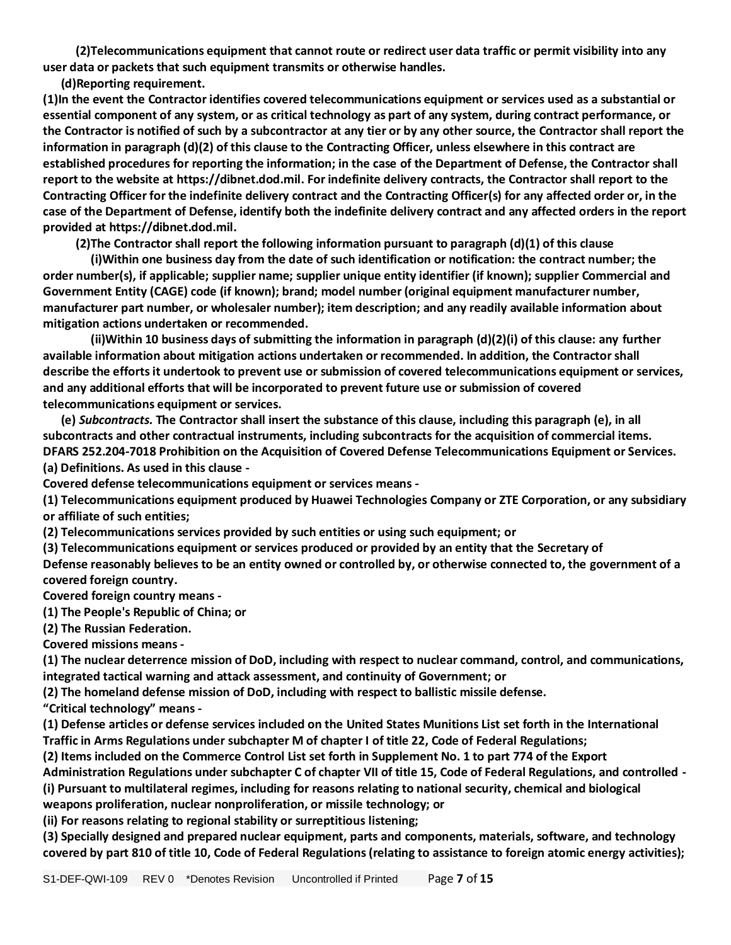**(2)Telecommunications equipment that cannot route or redirect user data traffic or permit visibility into any user data or packets that such equipment transmits or otherwise handles.**

 **(d)Reporting requirement.**

**(1)In the event the Contractor identifies covered telecommunications equipment or services used as a substantial or essential component of any system, or as critical technology as part of any system, during contract performance, or the Contractor is notified of such by a subcontractor at any tier or by any other source, the Contractor shall report the information in paragraph (d)(2) of this clause to the Contracting Officer, unless elsewhere in this contract are established procedures for reporting the information; in the case of the Department of Defense, the Contractor shall report to the website at [https://dibnet.dod.mil.](https://dibnet.dod.mil/) For indefinite delivery contracts, the Contractor shall report to the Contracting Officer for the indefinite delivery contract and the Contracting Officer(s) for any affected order or, in the case of the Department of Defense, identify both the indefinite delivery contract and any affected orders in the report provided at [https://dibnet.dod.mil.](https://dibnet.dod.mil/)**

 **(2)The Contractor shall report the following information pursuant to paragraph (d)(1) of this clause**

 **(i)Within one business day from the date of such identification or notification: the contract number; the order number(s), if applicable; supplier name; supplier unique entity identifier (if known); supplier Commercial and Government Entity (CAGE) code (if known); brand; model number (original equipment manufacturer number, manufacturer part number, or wholesaler number); item description; and any readily available information about mitigation actions undertaken or recommended.**

 **(ii)Within 10 business days of submitting the information in paragraph (d)(2)(i) of this clause: any further available information about mitigation actions undertaken or recommended. In addition, the Contractor shall describe the efforts it undertook to prevent use or submission of covered telecommunications equipment or services, and any additional efforts that will be incorporated to prevent future use or submission of covered telecommunications equipment or services.**

 **(e)** *Subcontracts.* **The Contractor shall insert the substance of this clause, including this paragraph (e), in all subcontracts and other contractual instruments, including subcontracts for the acquisition of commercial items. DFARS 252.204-7018 Prohibition on the Acquisition of Covered Defense Telecommunications Equipment or Services. (a) Definitions. As used in this clause -**

**Covered defense telecommunications equipment or services means -**

**(1) Telecommunications equipment [produced](https://www.law.cornell.edu/definitions/index.php?width=840&height=800&iframe=true&def_id=1fa07edf5241a0d1c3189ab22f68245a&term_occur=999&term_src=Title:48:Chapter:2:Subchapter:H:Part:252:Subpart:252.2:252.204-7018) by Huawei Technologies Company or ZTE Corporation, or any subsidiary or affiliate of such entities;**

**(2) Telecommunications services provided by such entities or using such equipment; or**

**(3) Telecommunications equipment or services [produced](https://www.law.cornell.edu/definitions/index.php?width=840&height=800&iframe=true&def_id=1fa07edf5241a0d1c3189ab22f68245a&term_occur=999&term_src=Title:48:Chapter:2:Subchapter:H:Part:252:Subpart:252.2:252.204-7018) or provided by an entity that the Secretary of** 

**Defense reasonably believes to be an entity owned or controlled by, or otherwise connected to, the [government of a](https://www.law.cornell.edu/definitions/index.php?width=840&height=800&iframe=true&def_id=dad11ab2c4c2220df3f4b265c3bf9d68&term_occur=999&term_src=Title:48:Chapter:2:Subchapter:H:Part:252:Subpart:252.2:252.204-7018)  [covered foreign country.](https://www.law.cornell.edu/definitions/index.php?width=840&height=800&iframe=true&def_id=dad11ab2c4c2220df3f4b265c3bf9d68&term_occur=999&term_src=Title:48:Chapter:2:Subchapter:H:Part:252:Subpart:252.2:252.204-7018)**

**Covered foreign country means -**

**(1) The People's Republic of China; or**

**(2) The Russian Federation.**

**Covered missions means -**

**(1) The nuclear deterrence mission of DoD, including with respect to nuclear command, control, and communications, integrated tactical warning and attack assessment, and continuity of Government; or**

**(2) The homeland defense mission of DoD, including with respect to ballistic missile defense.**

**"Critical technology" means -**

**(1) Defense [articles](https://www.law.cornell.edu/definitions/index.php?width=840&height=800&iframe=true&def_id=38e380ee68b6e6be252d3add72b6aeab&term_occur=999&term_src=Title:48:Chapter:2:Subchapter:H:Part:252:Subpart:252.2:252.204-7018) or defense services included on the [United States Munitions List](https://www.law.cornell.edu/definitions/index.php?width=840&height=800&iframe=true&def_id=f6a1828c97dcc4c2f4deac6184650382&term_occur=999&term_src=Title:48:Chapter:2:Subchapter:H:Part:252:Subpart:252.2:252.204-7018) set forth in the International Traffic in Arms Regulations under subchapter M of chapter I of title 22, Code of Federal Regulations;**

**(2) [Items](https://www.law.cornell.edu/definitions/index.php?width=840&height=800&iframe=true&def_id=9f1a663007e7a282a7257646796e6600&term_occur=999&term_src=Title:48:Chapter:2:Subchapter:H:Part:252:Subpart:252.2:252.204-7018) included on the Commerce Control List set forth in Supplement No. 1 to part 774 of the Export** 

**Administration Regulations under subchapter C of chapter VII of title 15, Code of Federal Regulations, and controlled - (i) Pursuant to multilateral regimes, including for reasons relating to national security, chemical and biological weapons proliferation, nuclear nonproliferation, or missile technology; or**

**(ii) For reasons relating to regional stability or surreptitious listening;**

**(3) Specially designed and prepared nuclear equipment, parts and [components,](https://www.law.cornell.edu/definitions/index.php?width=840&height=800&iframe=true&def_id=b08d4ec518dd34ef35cad06510d82828&term_occur=999&term_src=Title:48:Chapter:2:Subchapter:H:Part:252:Subpart:252.2:252.204-7018) materials, software, and technology covered by part 810 of title 10, Code of Federal Regulations (relating to assistance to foreign atomic energy activities);**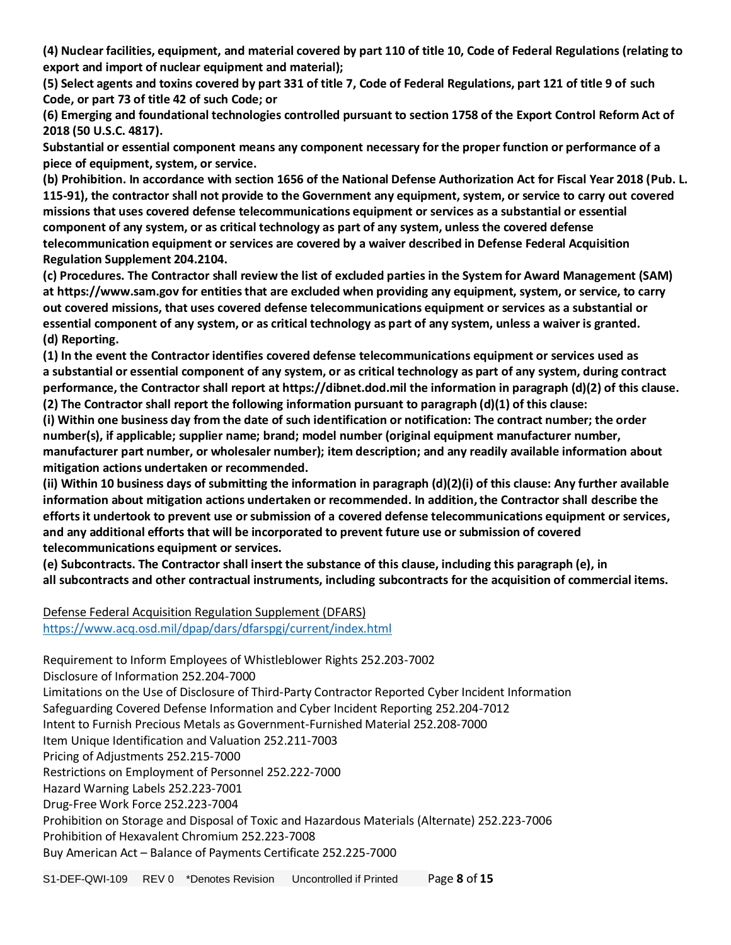**(4) Nuclear facilities, equipment, and material covered by part 110 of title 10, Code of Federal Regulations (relating to export and import of nuclear equipment and material);**

**(5) Select agents and toxins covered by part 331 of title 7, Code of Federal Regulations, part 121 of title 9 of such Code, or part 73 of title 42 of such Code; or**

**(6) Emerging and foundational technologies controlled pursuant to section 1758 of the Export Control Reform Act of 2018 [\(50 U.S.C. 4817\)](https://www.law.cornell.edu/uscode/text/50/4817).**

**Substantial or essential component means any [component](https://www.law.cornell.edu/definitions/index.php?width=840&height=800&iframe=true&def_id=88c3a3345ec18653c881c90a8c0e73d3&term_occur=999&term_src=Title:48:Chapter:2:Subchapter:H:Part:252:Subpart:252.2:252.204-7018) necessary for the proper function or performance of a piece of equipment, system, or service.**

**(b) Prohibition. In accordance with section 1656 of the National Defense Authorization Act for Fiscal Year 2018 [\(Pub. L.](https://www.law.cornell.edu/rio/citation/Pub._L._115-91)  [115-91\)](https://www.law.cornell.edu/rio/citation/Pub._L._115-91), the contractor shall not provide to the Government any equipment, system, or service to carry out [covered](https://www.law.cornell.edu/definitions/index.php?width=840&height=800&iframe=true&def_id=d207ce8f790156e9d9d05c2956bb59af&term_occur=999&term_src=Title:48:Chapter:2:Subchapter:H:Part:252:Subpart:252.2:252.204-7018)  [missions](https://www.law.cornell.edu/definitions/index.php?width=840&height=800&iframe=true&def_id=d207ce8f790156e9d9d05c2956bb59af&term_occur=999&term_src=Title:48:Chapter:2:Subchapter:H:Part:252:Subpart:252.2:252.204-7018) that uses [covered defense telecommunications equipment or services](https://www.law.cornell.edu/definitions/index.php?width=840&height=800&iframe=true&def_id=b44a3a60bc7091eb66547b21c5f0c5d9&term_occur=999&term_src=Title:48:Chapter:2:Subchapter:H:Part:252:Subpart:252.2:252.204-7018) as a [substantial or essential](https://www.law.cornell.edu/definitions/index.php?width=840&height=800&iframe=true&def_id=83089f0d963c2119c4d8ed7e32a2dc86&term_occur=999&term_src=Title:48:Chapter:2:Subchapter:H:Part:252:Subpart:252.2:252.204-7018)  [component](https://www.law.cornell.edu/definitions/index.php?width=840&height=800&iframe=true&def_id=83089f0d963c2119c4d8ed7e32a2dc86&term_occur=999&term_src=Title:48:Chapter:2:Subchapter:H:Part:252:Subpart:252.2:252.204-7018) of any system, or as critical technology as part of any system, unless the covered defense telecommunication equipment or services are covered by a waiver described in Defense Federal Acquisition Regulation Supplement 204.2104.**

**(c) Procedures. The Contractor shall review the list of excluded parties in the System for Award Management (SAM) at https://www.sam.gov for entities that are excluded when providing any equipment, system, or service, to carry out [covered missions,](https://www.law.cornell.edu/definitions/index.php?width=840&height=800&iframe=true&def_id=d207ce8f790156e9d9d05c2956bb59af&term_occur=999&term_src=Title:48:Chapter:2:Subchapter:H:Part:252:Subpart:252.2:252.204-7018) that uses [covered defense telecommunications equipment or services](https://www.law.cornell.edu/definitions/index.php?width=840&height=800&iframe=true&def_id=b44a3a60bc7091eb66547b21c5f0c5d9&term_occur=999&term_src=Title:48:Chapter:2:Subchapter:H:Part:252:Subpart:252.2:252.204-7018) as a [substantial or](https://www.law.cornell.edu/definitions/index.php?width=840&height=800&iframe=true&def_id=83089f0d963c2119c4d8ed7e32a2dc86&term_occur=999&term_src=Title:48:Chapter:2:Subchapter:H:Part:252:Subpart:252.2:252.204-7018)  [essential component](https://www.law.cornell.edu/definitions/index.php?width=840&height=800&iframe=true&def_id=83089f0d963c2119c4d8ed7e32a2dc86&term_occur=999&term_src=Title:48:Chapter:2:Subchapter:H:Part:252:Subpart:252.2:252.204-7018) of any system, or as critical technology as part of any system, unless a waiver is granted. (d) Reporting.**

**(1) In the event the Contractor identifies [covered defense telecommunications equipment or services](https://www.law.cornell.edu/definitions/index.php?width=840&height=800&iframe=true&def_id=b44a3a60bc7091eb66547b21c5f0c5d9&term_occur=999&term_src=Title:48:Chapter:2:Subchapter:H:Part:252:Subpart:252.2:252.204-7018) used as a [substantial or essential component](https://www.law.cornell.edu/definitions/index.php?width=840&height=800&iframe=true&def_id=83089f0d963c2119c4d8ed7e32a2dc86&term_occur=999&term_src=Title:48:Chapter:2:Subchapter:H:Part:252:Subpart:252.2:252.204-7018) of any system, or as critical technology as part of any system, during contract performance, the Contractor shall report at https://dibnet.dod.mil the information in paragraph (d)(2) of this clause. (2) The Contractor shall report the following information pursuant to paragraph (d)(1) of this clause:**

**(i) Within one business day from the date of such identification or notification: The contract number; the order number(s), if applicable; supplier name; brand; model number (original equipment manufacturer number, manufacturer part number, or wholesaler number); [item](https://www.law.cornell.edu/definitions/index.php?width=840&height=800&iframe=true&def_id=9f1a663007e7a282a7257646796e6600&term_occur=999&term_src=Title:48:Chapter:2:Subchapter:H:Part:252:Subpart:252.2:252.204-7018) description; and any readily available information about mitigation actions undertaken or recommended.**

**(ii) Within 10 business days of submitting the information in paragraph (d)(2)(i) of this clause: Any further available information about mitigation actions undertaken or recommended. In addition, the Contractor shall describe the efforts it undertook to prevent use or submission of a [covered defense telecommunications equipment or services,](https://www.law.cornell.edu/definitions/index.php?width=840&height=800&iframe=true&def_id=b44a3a60bc7091eb66547b21c5f0c5d9&term_occur=999&term_src=Title:48:Chapter:2:Subchapter:H:Part:252:Subpart:252.2:252.204-7018) and any additional efforts that will be incorporated to prevent future use or submission of covered telecommunications equipment or services.**

**(e) Subcontracts. The Contractor shall insert the substance of this clause, including this paragraph (e), in all [subcontracts](https://www.law.cornell.edu/definitions/index.php?width=840&height=800&iframe=true&def_id=d7808dffbced772fa6297dcc2e796ed1&term_occur=999&term_src=Title:48:Chapter:2:Subchapter:H:Part:252:Subpart:252.2:252.204-7018) and other contractual instruments, including [subcontracts](https://www.law.cornell.edu/definitions/index.php?width=840&height=800&iframe=true&def_id=d7808dffbced772fa6297dcc2e796ed1&term_occur=999&term_src=Title:48:Chapter:2:Subchapter:H:Part:252:Subpart:252.2:252.204-7018) for the acquisition of commercial items.**

Defense Federal Acquisition Regulation Supplement (DFARS) <https://www.acq.osd.mil/dpap/dars/dfarspgi/current/index.html>

Requirement to Inform Employees of Whistleblower Rights 252.203-7002 Disclosure of Information 252.204-7000 Limitations on the Use of Disclosure of Third-Party Contractor Reported Cyber Incident Information Safeguarding Covered Defense Information and Cyber Incident Reporting 252.204-7012 Intent to Furnish Precious Metals as Government-Furnished Material 252.208-7000 Item Unique Identification and Valuation 252.211-7003 Pricing of Adjustments 252.215-7000 Restrictions on Employment of Personnel 252.222-7000 Hazard Warning Labels 252.223-7001 Drug-Free Work Force 252.223-7004 Prohibition on Storage and Disposal of Toxic and Hazardous Materials (Alternate) 252.223-7006 Prohibition of Hexavalent Chromium 252.223-7008 Buy American Act – Balance of Payments Certificate 252.225-7000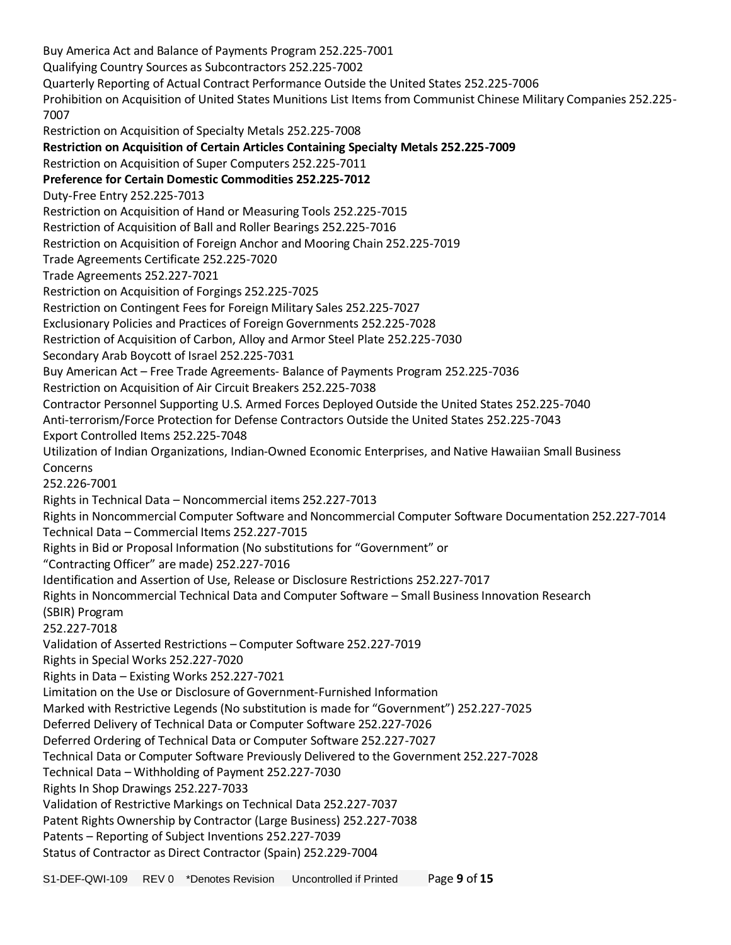Buy America Act and Balance of Payments Program 252.225-7001 Qualifying Country Sources as Subcontractors 252.225-7002 Quarterly Reporting of Actual Contract Performance Outside the United States 252.225-7006 Prohibition on Acquisition of United States Munitions List Items from Communist Chinese Military Companies 252.225- 7007 Restriction on Acquisition of Specialty Metals 252.225-7008 **Restriction on Acquisition of Certain Articles Containing Specialty Metals 252.225-7009** Restriction on Acquisition of Super Computers 252.225-7011 **Preference for Certain Domestic Commodities 252.225-7012** Duty-Free Entry 252.225-7013 Restriction on Acquisition of Hand or Measuring Tools 252.225-7015 Restriction of Acquisition of Ball and Roller Bearings 252.225-7016 Restriction on Acquisition of Foreign Anchor and Mooring Chain 252.225-7019 Trade Agreements Certificate 252.225-7020 Trade Agreements 252.227-7021 Restriction on Acquisition of Forgings 252.225-7025 Restriction on Contingent Fees for Foreign Military Sales 252.225-7027 Exclusionary Policies and Practices of Foreign Governments 252.225-7028 Restriction of Acquisition of Carbon, Alloy and Armor Steel Plate 252.225-7030 Secondary Arab Boycott of Israel 252.225-7031 Buy American Act – Free Trade Agreements- Balance of Payments Program 252.225-7036 Restriction on Acquisition of Air Circuit Breakers 252.225-7038 Contractor Personnel Supporting U.S. Armed Forces Deployed Outside the United States 252.225-7040 Anti-terrorism/Force Protection for Defense Contractors Outside the United States 252.225-7043 Export Controlled Items 252.225-7048 Utilization of Indian Organizations, Indian-Owned Economic Enterprises, and Native Hawaiian Small Business Concerns 252.226-7001 Rights in Technical Data – Noncommercial items 252.227-7013 Rights in Noncommercial Computer Software and Noncommercial Computer Software Documentation 252.227-7014 Technical Data – Commercial Items 252.227-7015 Rights in Bid or Proposal Information (No substitutions for "Government" or "Contracting Officer" are made) 252.227-7016 Identification and Assertion of Use, Release or Disclosure Restrictions 252.227-7017 Rights in Noncommercial Technical Data and Computer Software – Small Business Innovation Research (SBIR) Program 252.227-7018 Validation of Asserted Restrictions – Computer Software 252.227-7019 Rights in Special Works 252.227-7020 Rights in Data – Existing Works 252.227-7021 Limitation on the Use or Disclosure of Government-Furnished Information Marked with Restrictive Legends (No substitution is made for "Government") 252.227-7025 Deferred Delivery of Technical Data or Computer Software 252.227-7026 Deferred Ordering of Technical Data or Computer Software 252.227-7027 Technical Data or Computer Software Previously Delivered to the Government 252.227-7028 Technical Data – Withholding of Payment 252.227-7030 Rights In Shop Drawings 252.227-7033 Validation of Restrictive Markings on Technical Data 252.227-7037 Patent Rights Ownership by Contractor (Large Business) 252.227-7038 Patents – Reporting of Subject Inventions 252.227-7039 Status of Contractor as Direct Contractor (Spain) 252.229-7004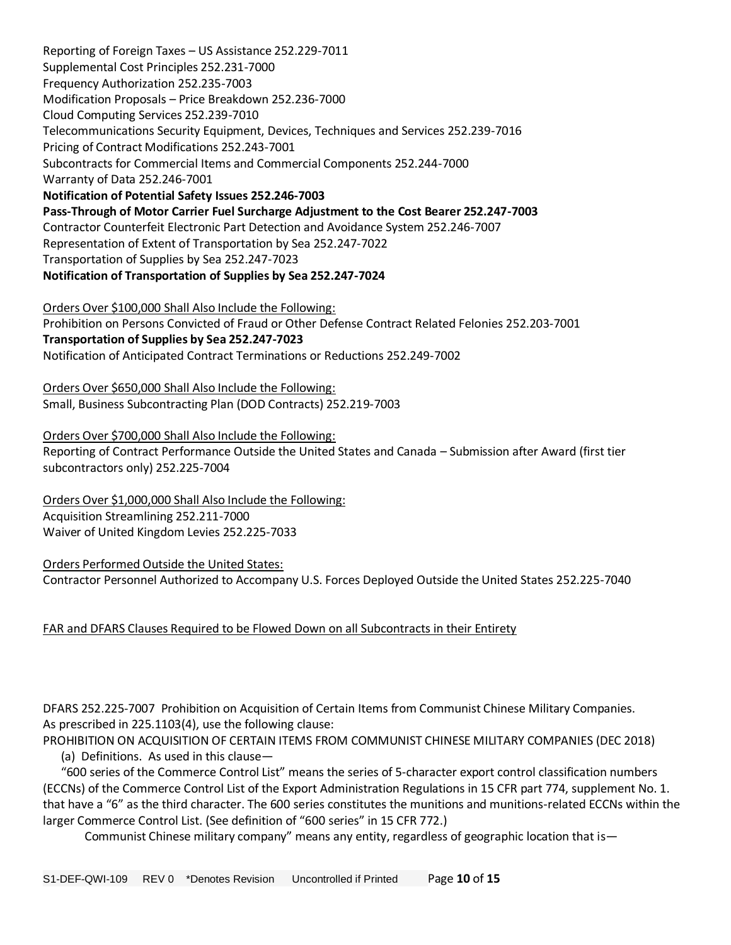Reporting of Foreign Taxes – US Assistance 252.229-7011 Supplemental Cost Principles 252.231-7000 Frequency Authorization 252.235-7003 Modification Proposals – Price Breakdown 252.236-7000 Cloud Computing Services 252.239-7010 Telecommunications Security Equipment, Devices, Techniques and Services 252.239-7016 Pricing of Contract Modifications 252.243-7001 Subcontracts for Commercial Items and Commercial Components 252.244-7000 Warranty of Data 252.246-7001 **Notification of Potential Safety Issues 252.246-7003 Pass-Through of Motor Carrier Fuel Surcharge Adjustment to the Cost Bearer 252.247-7003** Contractor Counterfeit Electronic Part Detection and Avoidance System 252.246-7007 Representation of Extent of Transportation by Sea 252.247-7022 Transportation of Supplies by Sea 252.247-7023 **Notification of Transportation of Supplies by Sea 252.247-7024**

Orders Over \$100,000 Shall Also Include the Following: Prohibition on Persons Convicted of Fraud or Other Defense Contract Related Felonies 252.203-7001 **Transportation of Supplies by Sea 252.247-7023** Notification of Anticipated Contract Terminations or Reductions 252.249-7002

Orders Over \$650,000 Shall Also Include the Following: Small, Business Subcontracting Plan (DOD Contracts) 252.219-7003

Orders Over \$700,000 Shall Also Include the Following: Reporting of Contract Performance Outside the United States and Canada – Submission after Award (first tier subcontractors only) 252.225-7004

Orders Over \$1,000,000 Shall Also Include the Following: Acquisition Streamlining 252.211-7000 Waiver of United Kingdom Levies 252.225-7033

Orders Performed Outside the United States: Contractor Personnel Authorized to Accompany U.S. Forces Deployed Outside the United States 252.225-7040

#### FAR and DFARS Clauses Required to be Flowed Down on all Subcontracts in their Entirety

DFARS 252.225-7007 Prohibition on Acquisition of Certain Items from Communist Chinese Military Companies. As prescribed in [225.1103\(](https://www.acq.osd.mil/dpap/dars/dfars/html/current/225_11.htm#225.1103)4), use the following clause:

PROHIBITION ON ACQUISITION OF CERTAIN ITEMS FROM COMMUNIST CHINESE MILITARY COMPANIES (DEC 2018)

(a) Definitions. As used in this clause—

 "600 series of the Commerce Control List" means the series of 5-character export control classification numbers (ECCNs) of the Commerce Control List of the Export Administration Regulations in 15 CFR part 774, supplement No. 1. that have a "6" as the third character. The 600 series constitutes the munitions and munitions-related ECCNs within the larger Commerce Control List. (See definition of "600 series" in 15 CFR 772.)

Communist Chinese military company" means any entity, regardless of geographic location that is—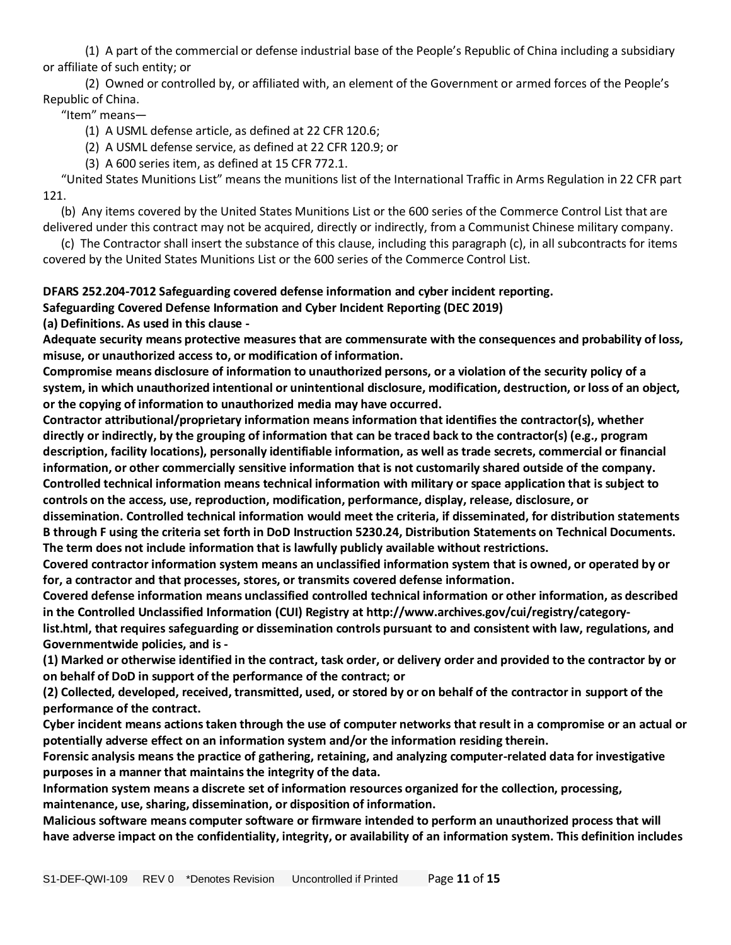(1) A part of the commercial or defense industrial base of the People's Republic of China including a subsidiary or affiliate of such entity; or

 (2) Owned or controlled by, or affiliated with, an element of the Government or armed forces of the People's Republic of China.

"Item" means—

(1) A USML defense article, as defined at 22 CFR 120.6;

(2) A USML defense service, as defined at 22 CFR 120.9; or

(3) A 600 series item, as defined at 15 CFR 772.1.

 "United States Munitions List" means the munitions list of the International Traffic in Arms Regulation in 22 CFR part 121.

 (b) Any items covered by the United States Munitions List or the 600 series of the Commerce Control List that are delivered under this contract may not be acquired, directly or indirectly, from a Communist Chinese military company.

 (c) The Contractor shall insert the substance of this clause, including this paragraph (c), in all subcontracts for items covered by the United States Munitions List or the 600 series of the Commerce Control List.

# **DFARS 252.204-7012 Safeguarding [covered defense information](https://www.law.cornell.edu/definitions/index.php?width=840&height=800&iframe=true&def_id=84989fda9e016c08a3be260ac6e7bb78&term_occur=999&term_src=Title:48:Chapter:2:Subchapter:H:Part:252:Subpart:252.2:252.204-7012) and [cyber incident](https://www.law.cornell.edu/definitions/index.php?width=840&height=800&iframe=true&def_id=b7d9c7dc0ac6883f0e6039f5bc1f541e&term_occur=999&term_src=Title:48:Chapter:2:Subchapter:H:Part:252:Subpart:252.2:252.204-7012) reporting.**

### **Safeguarding Covered Defense Information and Cyber Incident Reporting (DEC 2019)**

**(a) Definitions. As used in this clause -**

**Adequate security means protective measures that are commensurate with the consequences and probability of loss, misuse, or unauthorized access to, or modification of information.**

**Compromise means disclosure of information to unauthorized persons, or a violation of the security policy of a system, in which unauthorized intentional or unintentional disclosure, modification, destruction, or loss of an object, or the copying of information to unauthorized [media](https://www.law.cornell.edu/definitions/index.php?width=840&height=800&iframe=true&def_id=19041c252c90ca03957773225f517ed6&term_occur=999&term_src=Title:48:Chapter:2:Subchapter:H:Part:252:Subpart:252.2:252.204-7012) may have occurred.**

**Contractor attributional/proprietary information means information that identifies the contractor(s), whether directly or indirectly, by the grouping of information that can be traced back to the contractor(s) (e.g., program description, facility locations), personally identifiable information, as well as trade secrets, commercial or financial information, or other commercially [sensitive information](https://www.law.cornell.edu/definitions/index.php?width=840&height=800&iframe=true&def_id=c11535e6a97d214f3a57efa45e84397f&term_occur=999&term_src=Title:48:Chapter:2:Subchapter:H:Part:252:Subpart:252.2:252.204-7012) that is not customarily shared outside of the company. Controlled technical information means [technical information](https://www.law.cornell.edu/definitions/index.php?width=840&height=800&iframe=true&def_id=00741a6c45d95ed805ad6d6db3d1b7ff&term_occur=999&term_src=Title:48:Chapter:2:Subchapter:H:Part:252:Subpart:252.2:252.204-7012) with military or space application that is subject to controls on the access, use, reproduction, modification, performance, display, release, disclosure, or** 

**dissemination. [Controlled technical information](https://www.law.cornell.edu/definitions/index.php?width=840&height=800&iframe=true&def_id=eccd0cc5e1789dec45b5f46ee218270d&term_occur=999&term_src=Title:48:Chapter:2:Subchapter:H:Part:252:Subpart:252.2:252.204-7012) would meet the criteria, if disseminated, for distribution statements B through F using the criteria set forth in DoD Instruction 5230.24, Distribution Statements on Technical Documents. The term does not include information that is lawfully publicly available without restrictions.**

**Covered contractor information system means an unclassified [information system](https://www.law.cornell.edu/definitions/index.php?width=840&height=800&iframe=true&def_id=c76de9a4a94bd12f4e5da571621e8fa1&term_occur=999&term_src=Title:48:Chapter:2:Subchapter:H:Part:252:Subpart:252.2:252.204-7012) that is owned, or operated by or for, a contractor and that processes, stores, or transmits [covered defense information.](https://www.law.cornell.edu/definitions/index.php?width=840&height=800&iframe=true&def_id=84989fda9e016c08a3be260ac6e7bb78&term_occur=999&term_src=Title:48:Chapter:2:Subchapter:H:Part:252:Subpart:252.2:252.204-7012)**

**Covered defense information means unclassified [controlled technical information](https://www.law.cornell.edu/definitions/index.php?width=840&height=800&iframe=true&def_id=eccd0cc5e1789dec45b5f46ee218270d&term_occur=999&term_src=Title:48:Chapter:2:Subchapter:H:Part:252:Subpart:252.2:252.204-7012) or other information, as described in the Controlled Unclassified Information (CUI) Registry at http://www.archives.gov/cui/registry/category-**

**list.html, that requires safeguarding or dissemination controls pursuant to and consistent with law, regulations, and Governmentwide policies, and is -**

**(1) Marked or otherwise identified in the contract, task order, or delivery order and provided to the contractor by or on behalf of DoD in support of the performance of the contract; or**

**(2) Collected, developed, received, transmitted, used, or stored by or on behalf of the contractor in support of the performance of the contract.**

**Cyber incident means actions taken through the use of computer networks that result in a [compromise](https://www.law.cornell.edu/definitions/index.php?width=840&height=800&iframe=true&def_id=afa7f19064b95b56c6fbddce888e9e14&term_occur=999&term_src=Title:48:Chapter:2:Subchapter:H:Part:252:Subpart:252.2:252.204-7012) or an actual or potentially adverse effect on an [information system](https://www.law.cornell.edu/definitions/index.php?width=840&height=800&iframe=true&def_id=c76de9a4a94bd12f4e5da571621e8fa1&term_occur=999&term_src=Title:48:Chapter:2:Subchapter:H:Part:252:Subpart:252.2:252.204-7012) and/or the information residing therein.**

**Forensic analysis means the practice of gathering, retaining, and analyzing computer-related data for investigative purposes in a manner that maintains the integrity of the data.**

**Information system means a discrete set of information resources organized for the collection, processing, maintenance, use, sharing, dissemination, or disposition of information.**

**Malicious software means [computer software](https://www.law.cornell.edu/definitions/index.php?width=840&height=800&iframe=true&def_id=42d32c4a8a792c34a375f34bf3296b5c&term_occur=999&term_src=Title:48:Chapter:2:Subchapter:H:Part:252:Subpart:252.2:252.204-7012) or firmware intended to perform an unauthorized process that will have adverse impact on the confidentiality, integrity, or availability of an [information system.](https://www.law.cornell.edu/definitions/index.php?width=840&height=800&iframe=true&def_id=c76de9a4a94bd12f4e5da571621e8fa1&term_occur=999&term_src=Title:48:Chapter:2:Subchapter:H:Part:252:Subpart:252.2:252.204-7012) This [definition](https://www.law.cornell.edu/definitions/index.php?width=840&height=800&iframe=true&def_id=69d6d9a1fec26e0f960d5bdb269b4807&term_occur=999&term_src=Title:48:Chapter:2:Subchapter:H:Part:252:Subpart:252.2:252.204-7012) includes**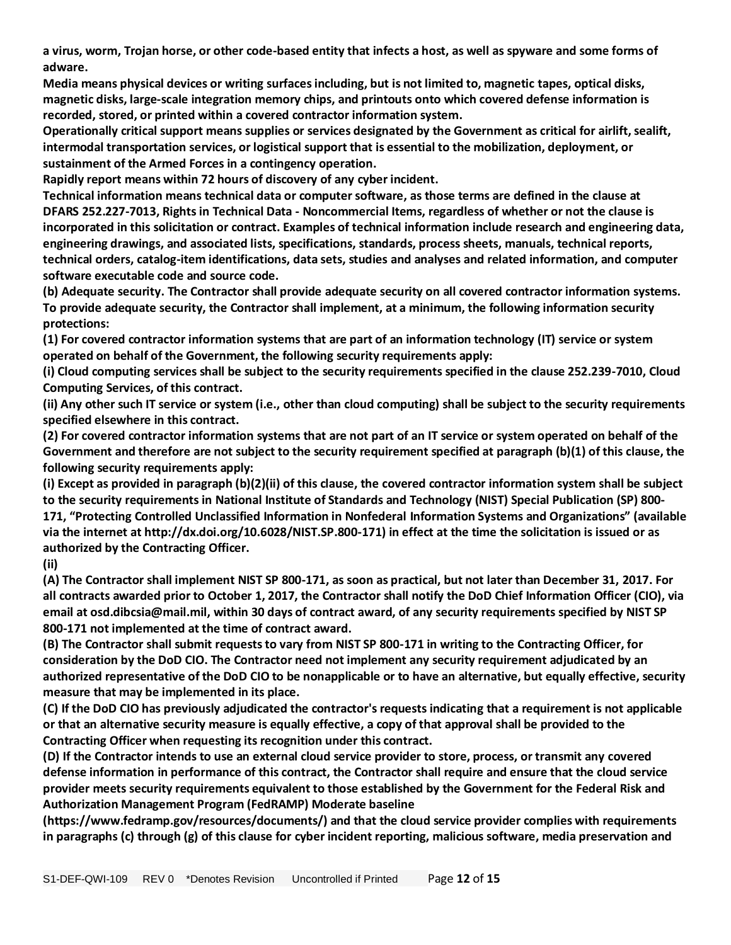**a virus, worm, Trojan horse, or other code-based entity that infects a host, as well as spyware and some forms of adware.**

**Media means physical devices or writing surfaces including, but is not limited to, magnetic tapes, optical disks, magnetic disks, large-scale integration memory chips, and printouts onto which [covered defense information](https://www.law.cornell.edu/definitions/index.php?width=840&height=800&iframe=true&def_id=84989fda9e016c08a3be260ac6e7bb78&term_occur=999&term_src=Title:48:Chapter:2:Subchapter:H:Part:252:Subpart:252.2:252.204-7012) is recorded, stored, or printed within a [covered contractor information system.](https://www.law.cornell.edu/definitions/index.php?width=840&height=800&iframe=true&def_id=0467586a947c72491ad5217cdade7546&term_occur=999&term_src=Title:48:Chapter:2:Subchapter:H:Part:252:Subpart:252.2:252.204-7012)**

**Operationally critical support means [supplies](https://www.law.cornell.edu/definitions/index.php?width=840&height=800&iframe=true&def_id=9932f562a79a98d040d7cae643de1b7f&term_occur=999&term_src=Title:48:Chapter:2:Subchapter:H:Part:252:Subpart:252.2:252.204-7012) or services designated by the Government as critical for airlift, sealift, intermodal transportation services, or logistical support that is essential to the mobilization, deployment, or sustainment of the Armed Forces in a contingency [operation.](https://www.law.cornell.edu/definitions/index.php?width=840&height=800&iframe=true&def_id=2c44a70a58b6bf302ad9fd29a3f14cff&term_occur=999&term_src=Title:48:Chapter:2:Subchapter:H:Part:252:Subpart:252.2:252.204-7012)**

**Rapidly report means within 72 hours of discovery of any [cyber incident.](https://www.law.cornell.edu/definitions/index.php?width=840&height=800&iframe=true&def_id=b7d9c7dc0ac6883f0e6039f5bc1f541e&term_occur=999&term_src=Title:48:Chapter:2:Subchapter:H:Part:252:Subpart:252.2:252.204-7012)**

**Technical information means [technical data](https://www.law.cornell.edu/definitions/index.php?width=840&height=800&iframe=true&def_id=3b441dd08f401241f97808f8ac8aeaa5&term_occur=999&term_src=Title:48:Chapter:2:Subchapter:H:Part:252:Subpart:252.2:252.204-7012) or [computer software,](https://www.law.cornell.edu/definitions/index.php?width=840&height=800&iframe=true&def_id=42d32c4a8a792c34a375f34bf3296b5c&term_occur=999&term_src=Title:48:Chapter:2:Subchapter:H:Part:252:Subpart:252.2:252.204-7012) as those terms are defined in the clause at DFARS 252.227-7013, Rights in [Technical Data](https://www.law.cornell.edu/definitions/index.php?width=840&height=800&iframe=true&def_id=3b441dd08f401241f97808f8ac8aeaa5&term_occur=999&term_src=Title:48:Chapter:2:Subchapter:H:Part:252:Subpart:252.2:252.204-7012) - Noncommercial Items, regardless of whether or not the clause is incorporated in this solicitation or contract. Examples of [technical information](https://www.law.cornell.edu/definitions/index.php?width=840&height=800&iframe=true&def_id=00741a6c45d95ed805ad6d6db3d1b7ff&term_occur=999&term_src=Title:48:Chapter:2:Subchapter:H:Part:252:Subpart:252.2:252.204-7012) include research and engineering data, engineering drawings, and associated lists, specifications, standards, process sheets, manuals, technical reports, technical orders, catalog-item identifications, data sets, studies and analyses and related information, and [computer](https://www.law.cornell.edu/definitions/index.php?width=840&height=800&iframe=true&def_id=42d32c4a8a792c34a375f34bf3296b5c&term_occur=999&term_src=Title:48:Chapter:2:Subchapter:H:Part:252:Subpart:252.2:252.204-7012)  [software](https://www.law.cornell.edu/definitions/index.php?width=840&height=800&iframe=true&def_id=42d32c4a8a792c34a375f34bf3296b5c&term_occur=999&term_src=Title:48:Chapter:2:Subchapter:H:Part:252:Subpart:252.2:252.204-7012) executable code and source code.**

**(b) Adequate security. The Contractor shall provide [adequate security](https://www.law.cornell.edu/definitions/index.php?width=840&height=800&iframe=true&def_id=46b1fafebbc49314e072660cb5e49e2d&term_occur=999&term_src=Title:48:Chapter:2:Subchapter:H:Part:252:Subpart:252.2:252.204-7012) on all covered contractor information systems. To provide [adequate security,](https://www.law.cornell.edu/definitions/index.php?width=840&height=800&iframe=true&def_id=46b1fafebbc49314e072660cb5e49e2d&term_occur=999&term_src=Title:48:Chapter:2:Subchapter:H:Part:252:Subpart:252.2:252.204-7012) the Contractor shall implement, at a minimum, the following information security protections:**

**(1) For covered contractor [information systems](https://www.law.cornell.edu/definitions/index.php?width=840&height=800&iframe=true&def_id=c76de9a4a94bd12f4e5da571621e8fa1&term_occur=999&term_src=Title:48:Chapter:2:Subchapter:H:Part:252:Subpart:252.2:252.204-7012) that are part of an information technology (IT) service or system operated on behalf of the Government, the following security requirements apply:**

**(i) [Cloud computing](https://www.law.cornell.edu/definitions/index.php?width=840&height=800&iframe=true&def_id=19e6a61ba6e4c610a22b05ebe5719578&term_occur=999&term_src=Title:48:Chapter:2:Subchapter:H:Part:252:Subpart:252.2:252.204-7012) services shall be subject to the security requirements specified in the clause 252.239-7010, [Cloud](https://www.law.cornell.edu/definitions/index.php?width=840&height=800&iframe=true&def_id=19e6a61ba6e4c610a22b05ebe5719578&term_occur=999&term_src=Title:48:Chapter:2:Subchapter:H:Part:252:Subpart:252.2:252.204-7012)  [Computing](https://www.law.cornell.edu/definitions/index.php?width=840&height=800&iframe=true&def_id=19e6a61ba6e4c610a22b05ebe5719578&term_occur=999&term_src=Title:48:Chapter:2:Subchapter:H:Part:252:Subpart:252.2:252.204-7012) Services, of this contract.**

**(ii) Any other such IT service or system (i.e., other than cloud computing) shall be subject to the security requirements specified elsewhere in this contract.**

**(2) For covered contractor [information systems](https://www.law.cornell.edu/definitions/index.php?width=840&height=800&iframe=true&def_id=c76de9a4a94bd12f4e5da571621e8fa1&term_occur=999&term_src=Title:48:Chapter:2:Subchapter:H:Part:252:Subpart:252.2:252.204-7012) that are not part of an IT service or system operated on behalf of the Government and therefore are not subject to the security requirement specified at paragraph (b)(1) of this clause, the following security requirements apply:**

**(i) Except as provided in paragraph (b)(2)(ii) of this clause, the [covered contractor information system](https://www.law.cornell.edu/definitions/index.php?width=840&height=800&iframe=true&def_id=0467586a947c72491ad5217cdade7546&term_occur=999&term_src=Title:48:Chapter:2:Subchapter:H:Part:252:Subpart:252.2:252.204-7012) shall be subject to the security requirements in National Institute of Standards and Technology (NIST) Special Publication (SP) 800- 171, "Protecting Controlled Unclassified Information in Nonfederal [Information Systems](https://www.law.cornell.edu/definitions/index.php?width=840&height=800&iframe=true&def_id=c76de9a4a94bd12f4e5da571621e8fa1&term_occur=999&term_src=Title:48:Chapter:2:Subchapter:H:Part:252:Subpart:252.2:252.204-7012) and Organizations" (available via the internet at http://dx.doi.org/10.6028/NIST.SP.800-171) in effect at the time the solicitation is issued or as authorized by the Contracting Officer.**

**(ii)**

**(A) The Contractor shall implement NIST SP 800-171, as soon as practical, but not later than December 31, 2017. For all contracts awarded prior to October 1, 2017, the Contractor shall notify the DoD Chief Information Officer (CIO), via email at osd.dibcsia@mail.mil, within 30 days of contract award, of any security requirements specified by NIST SP 800-171 not implemented at the time of contract award.**

**(B) The Contractor shall submit requests to vary from NIST SP 800-171 in writing to the Contracting Officer, for consideration by the DoD CIO. The Contractor need not implement any security requirement adjudicated by an authorized representative of the DoD CIO to be nonapplicable or to have an alternative, but equally effective, security measure that may be implemented in its place.**

**(C) If the DoD CIO has previously adjudicated the contractor's requests indicating that a requirement is not applicable or that an alternative security measure is equally effective, a copy of that approval shall be provided to the Contracting Officer when requesting its recognition under this contract.**

**(D) If the Contractor intends to use an external cloud service provider to store, process, or transmit any [covered](https://www.law.cornell.edu/definitions/index.php?width=840&height=800&iframe=true&def_id=84989fda9e016c08a3be260ac6e7bb78&term_occur=999&term_src=Title:48:Chapter:2:Subchapter:H:Part:252:Subpart:252.2:252.204-7012)  [defense information](https://www.law.cornell.edu/definitions/index.php?width=840&height=800&iframe=true&def_id=84989fda9e016c08a3be260ac6e7bb78&term_occur=999&term_src=Title:48:Chapter:2:Subchapter:H:Part:252:Subpart:252.2:252.204-7012) in performance of this contract, the Contractor shall require and ensure that the cloud service provider meets security requirements equivalent to those established by the Government for the Federal Risk and Authorization Management Program (FedRAMP) Moderate baseline** 

**(https://www.fedramp.gov/resources/documents/) and that the cloud service provider complies with requirements in paragraphs (c) through (g) of this clause for [cyber incident](https://www.law.cornell.edu/definitions/index.php?width=840&height=800&iframe=true&def_id=b7d9c7dc0ac6883f0e6039f5bc1f541e&term_occur=999&term_src=Title:48:Chapter:2:Subchapter:H:Part:252:Subpart:252.2:252.204-7012) reporting, [malicious software,](https://www.law.cornell.edu/definitions/index.php?width=840&height=800&iframe=true&def_id=804fee4236ff89279aa6e4545aa06e25&term_occur=999&term_src=Title:48:Chapter:2:Subchapter:H:Part:252:Subpart:252.2:252.204-7012) [media](https://www.law.cornell.edu/definitions/index.php?width=840&height=800&iframe=true&def_id=19041c252c90ca03957773225f517ed6&term_occur=999&term_src=Title:48:Chapter:2:Subchapter:H:Part:252:Subpart:252.2:252.204-7012) preservation and**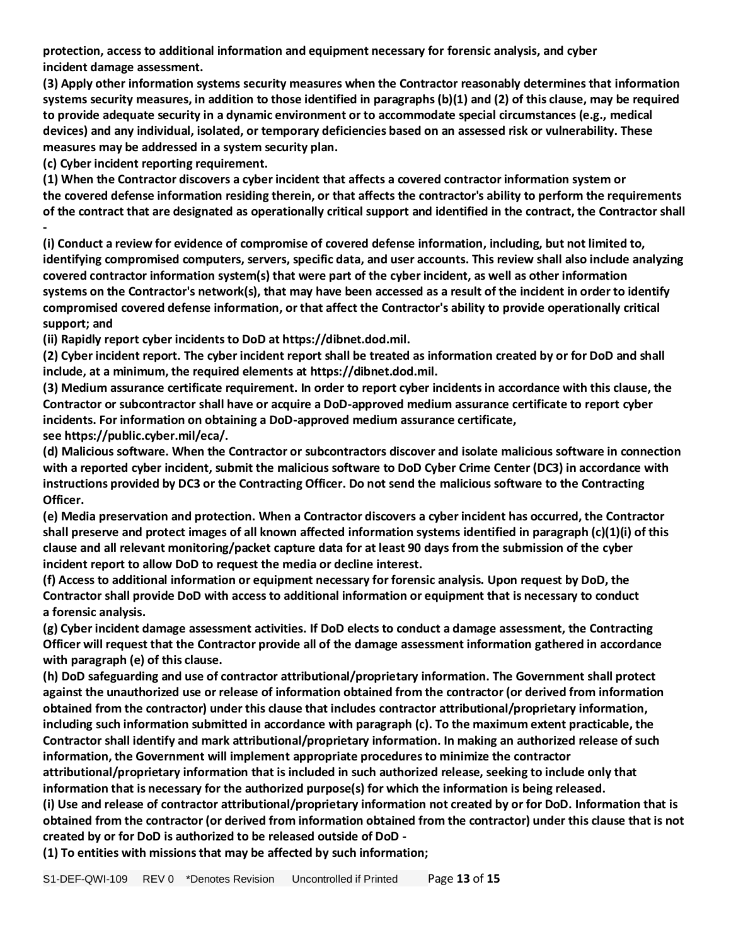**protection, access to additional information and equipment necessary for [forensic analysis,](https://www.law.cornell.edu/definitions/index.php?width=840&height=800&iframe=true&def_id=d00240cb8c385e7e7cfd5c5c88f791a7&term_occur=999&term_src=Title:48:Chapter:2:Subchapter:H:Part:252:Subpart:252.2:252.204-7012) and [cyber](https://www.law.cornell.edu/definitions/index.php?width=840&height=800&iframe=true&def_id=b7d9c7dc0ac6883f0e6039f5bc1f541e&term_occur=999&term_src=Title:48:Chapter:2:Subchapter:H:Part:252:Subpart:252.2:252.204-7012)  [incident](https://www.law.cornell.edu/definitions/index.php?width=840&height=800&iframe=true&def_id=b7d9c7dc0ac6883f0e6039f5bc1f541e&term_occur=999&term_src=Title:48:Chapter:2:Subchapter:H:Part:252:Subpart:252.2:252.204-7012) damage assessment.**

**(3) Apply other [information systems](https://www.law.cornell.edu/definitions/index.php?width=840&height=800&iframe=true&def_id=c76de9a4a94bd12f4e5da571621e8fa1&term_occur=999&term_src=Title:48:Chapter:2:Subchapter:H:Part:252:Subpart:252.2:252.204-7012) security measures when the Contractor reasonably determines that [information](https://www.law.cornell.edu/definitions/index.php?width=840&height=800&iframe=true&def_id=c76de9a4a94bd12f4e5da571621e8fa1&term_occur=999&term_src=Title:48:Chapter:2:Subchapter:H:Part:252:Subpart:252.2:252.204-7012)  [systems](https://www.law.cornell.edu/definitions/index.php?width=840&height=800&iframe=true&def_id=c76de9a4a94bd12f4e5da571621e8fa1&term_occur=999&term_src=Title:48:Chapter:2:Subchapter:H:Part:252:Subpart:252.2:252.204-7012) security measures, in addition to those identified in paragraphs (b)(1) and (2) of this clause, may be required to provide [adequate security](https://www.law.cornell.edu/definitions/index.php?width=840&height=800&iframe=true&def_id=46b1fafebbc49314e072660cb5e49e2d&term_occur=999&term_src=Title:48:Chapter:2:Subchapter:H:Part:252:Subpart:252.2:252.204-7012) in a dynamic environment or to accommodate special circumstances (e.g., medical devices) and any individual, isolated, or temporary deficiencies based on an assessed risk or vulnerability. These measures may be addressed in a system security plan.**

**(c) Cyber incident reporting requirement.**

**(1) When the Contractor discovers a [cyber incident](https://www.law.cornell.edu/definitions/index.php?width=840&height=800&iframe=true&def_id=b7d9c7dc0ac6883f0e6039f5bc1f541e&term_occur=999&term_src=Title:48:Chapter:2:Subchapter:H:Part:252:Subpart:252.2:252.204-7012) that affects a [covered contractor information system](https://www.law.cornell.edu/definitions/index.php?width=840&height=800&iframe=true&def_id=0467586a947c72491ad5217cdade7546&term_occur=999&term_src=Title:48:Chapter:2:Subchapter:H:Part:252:Subpart:252.2:252.204-7012) or the [covered defense information](https://www.law.cornell.edu/definitions/index.php?width=840&height=800&iframe=true&def_id=84989fda9e016c08a3be260ac6e7bb78&term_occur=999&term_src=Title:48:Chapter:2:Subchapter:H:Part:252:Subpart:252.2:252.204-7012) residing therein, or that affects the contractor's ability to perform the requirements of the contract that are designated as [operationally critical support](https://www.law.cornell.edu/definitions/index.php?width=840&height=800&iframe=true&def_id=fafc96e44071cc909220d36aef14bcaa&term_occur=999&term_src=Title:48:Chapter:2:Subchapter:H:Part:252:Subpart:252.2:252.204-7012) and identified in the contract, the Contractor shall -**

**(i) Conduct a review for evidence of [compromise](https://www.law.cornell.edu/definitions/index.php?width=840&height=800&iframe=true&def_id=afa7f19064b95b56c6fbddce888e9e14&term_occur=999&term_src=Title:48:Chapter:2:Subchapter:H:Part:252:Subpart:252.2:252.204-7012) of [covered defense information,](https://www.law.cornell.edu/definitions/index.php?width=840&height=800&iframe=true&def_id=84989fda9e016c08a3be260ac6e7bb78&term_occur=999&term_src=Title:48:Chapter:2:Subchapter:H:Part:252:Subpart:252.2:252.204-7012) including, but not limited to, identifying [compromised](https://www.law.cornell.edu/definitions/index.php?width=840&height=800&iframe=true&def_id=afa7f19064b95b56c6fbddce888e9e14&term_occur=999&term_src=Title:48:Chapter:2:Subchapter:H:Part:252:Subpart:252.2:252.204-7012) computers, servers, specific data, and user accounts. This review shall also include analyzing covered contractor information system(s) that were part of the [cyber incident,](https://www.law.cornell.edu/definitions/index.php?width=840&height=800&iframe=true&def_id=b7d9c7dc0ac6883f0e6039f5bc1f541e&term_occur=999&term_src=Title:48:Chapter:2:Subchapter:H:Part:252:Subpart:252.2:252.204-7012) as well as other [information](https://www.law.cornell.edu/definitions/index.php?width=840&height=800&iframe=true&def_id=c76de9a4a94bd12f4e5da571621e8fa1&term_occur=999&term_src=Title:48:Chapter:2:Subchapter:H:Part:252:Subpart:252.2:252.204-7012)  [systems](https://www.law.cornell.edu/definitions/index.php?width=840&height=800&iframe=true&def_id=c76de9a4a94bd12f4e5da571621e8fa1&term_occur=999&term_src=Title:48:Chapter:2:Subchapter:H:Part:252:Subpart:252.2:252.204-7012) on the Contractor's network(s), that may have been accessed as a result of the incident in order to identify compromised [covered defense information,](https://www.law.cornell.edu/definitions/index.php?width=840&height=800&iframe=true&def_id=84989fda9e016c08a3be260ac6e7bb78&term_occur=999&term_src=Title:48:Chapter:2:Subchapter:H:Part:252:Subpart:252.2:252.204-7012) or that affect the Contractor's ability to provide [operationally critical](https://www.law.cornell.edu/definitions/index.php?width=840&height=800&iframe=true&def_id=fafc96e44071cc909220d36aef14bcaa&term_occur=999&term_src=Title:48:Chapter:2:Subchapter:H:Part:252:Subpart:252.2:252.204-7012)  [support;](https://www.law.cornell.edu/definitions/index.php?width=840&height=800&iframe=true&def_id=fafc96e44071cc909220d36aef14bcaa&term_occur=999&term_src=Title:48:Chapter:2:Subchapter:H:Part:252:Subpart:252.2:252.204-7012) and**

**(ii) [Rapidly report](https://www.law.cornell.edu/definitions/index.php?width=840&height=800&iframe=true&def_id=8a2317317495e04bd330002f44a715d5&term_occur=999&term_src=Title:48:Chapter:2:Subchapter:H:Part:252:Subpart:252.2:252.204-7012) [cyber incidents](https://www.law.cornell.edu/definitions/index.php?width=840&height=800&iframe=true&def_id=b7d9c7dc0ac6883f0e6039f5bc1f541e&term_occur=999&term_src=Title:48:Chapter:2:Subchapter:H:Part:252:Subpart:252.2:252.204-7012)to DoD at https://dibnet.dod.mil.**

**(2) Cyber incident report. The [cyber incident](https://www.law.cornell.edu/definitions/index.php?width=840&height=800&iframe=true&def_id=b7d9c7dc0ac6883f0e6039f5bc1f541e&term_occur=999&term_src=Title:48:Chapter:2:Subchapter:H:Part:252:Subpart:252.2:252.204-7012) report shall be treated as information created by or for DoD and shall include, at a minimum, the required elements at https://dibnet.dod.mil.**

**(3) Medium assurance certificate requirement. In order to report [cyber incidentsi](https://www.law.cornell.edu/definitions/index.php?width=840&height=800&iframe=true&def_id=b7d9c7dc0ac6883f0e6039f5bc1f541e&term_occur=999&term_src=Title:48:Chapter:2:Subchapter:H:Part:252:Subpart:252.2:252.204-7012)n accordance with this clause, the Contractor or [subcontractor](https://www.law.cornell.edu/definitions/index.php?width=840&height=800&iframe=true&def_id=bb834b05637361336f3b7baebb30e00b&term_occur=999&term_src=Title:48:Chapter:2:Subchapter:H:Part:252:Subpart:252.2:252.204-7012) shall have or acquire a DoD-approved medium assurance certificate to report [cyber](https://www.law.cornell.edu/definitions/index.php?width=840&height=800&iframe=true&def_id=b7d9c7dc0ac6883f0e6039f5bc1f541e&term_occur=999&term_src=Title:48:Chapter:2:Subchapter:H:Part:252:Subpart:252.2:252.204-7012)  [incidents.](https://www.law.cornell.edu/definitions/index.php?width=840&height=800&iframe=true&def_id=b7d9c7dc0ac6883f0e6039f5bc1f541e&term_occur=999&term_src=Title:48:Chapter:2:Subchapter:H:Part:252:Subpart:252.2:252.204-7012) For information on obtaining a DoD-approved medium assurance certificate,** 

**see https://public.cyber.mil/eca/.**

**(d) Malicious software. When the Contractor or [subcontractors](https://www.law.cornell.edu/definitions/index.php?width=840&height=800&iframe=true&def_id=bb834b05637361336f3b7baebb30e00b&term_occur=999&term_src=Title:48:Chapter:2:Subchapter:H:Part:252:Subpart:252.2:252.204-7012) discover and isolate [malicious software](https://www.law.cornell.edu/definitions/index.php?width=840&height=800&iframe=true&def_id=804fee4236ff89279aa6e4545aa06e25&term_occur=999&term_src=Title:48:Chapter:2:Subchapter:H:Part:252:Subpart:252.2:252.204-7012) in connection with a reported [cyber incident,](https://www.law.cornell.edu/definitions/index.php?width=840&height=800&iframe=true&def_id=b7d9c7dc0ac6883f0e6039f5bc1f541e&term_occur=999&term_src=Title:48:Chapter:2:Subchapter:H:Part:252:Subpart:252.2:252.204-7012) submit the [malicious software](https://www.law.cornell.edu/definitions/index.php?width=840&height=800&iframe=true&def_id=804fee4236ff89279aa6e4545aa06e25&term_occur=999&term_src=Title:48:Chapter:2:Subchapter:H:Part:252:Subpart:252.2:252.204-7012) to DoD Cyber Crime Center (DC3) in accordance with instructions provided by DC3 or the Contracting Officer. Do not send the [malicious software](https://www.law.cornell.edu/definitions/index.php?width=840&height=800&iframe=true&def_id=804fee4236ff89279aa6e4545aa06e25&term_occur=999&term_src=Title:48:Chapter:2:Subchapter:H:Part:252:Subpart:252.2:252.204-7012) to the Contracting Officer.**

**(e) Media preservation and protection. When a Contractor discovers a [cyber incident](https://www.law.cornell.edu/definitions/index.php?width=840&height=800&iframe=true&def_id=b7d9c7dc0ac6883f0e6039f5bc1f541e&term_occur=999&term_src=Title:48:Chapter:2:Subchapter:H:Part:252:Subpart:252.2:252.204-7012) has occurred, the Contractor shall preserve and protect images of all known affected [information systems](https://www.law.cornell.edu/definitions/index.php?width=840&height=800&iframe=true&def_id=c76de9a4a94bd12f4e5da571621e8fa1&term_occur=999&term_src=Title:48:Chapter:2:Subchapter:H:Part:252:Subpart:252.2:252.204-7012) identified in paragraph (c)(1)(i) of this clause and all relevant monitoring/packet capture data for at least 90 days from the submission of the [cyber](https://www.law.cornell.edu/definitions/index.php?width=840&height=800&iframe=true&def_id=b7d9c7dc0ac6883f0e6039f5bc1f541e&term_occur=999&term_src=Title:48:Chapter:2:Subchapter:H:Part:252:Subpart:252.2:252.204-7012)  [incident](https://www.law.cornell.edu/definitions/index.php?width=840&height=800&iframe=true&def_id=b7d9c7dc0ac6883f0e6039f5bc1f541e&term_occur=999&term_src=Title:48:Chapter:2:Subchapter:H:Part:252:Subpart:252.2:252.204-7012) report to allow DoD to request the [media](https://www.law.cornell.edu/definitions/index.php?width=840&height=800&iframe=true&def_id=19041c252c90ca03957773225f517ed6&term_occur=999&term_src=Title:48:Chapter:2:Subchapter:H:Part:252:Subpart:252.2:252.204-7012) or decline interest.**

**(f) Access to additional information or equipment necessary for forensic analysis. Upon request by DoD, the Contractor shall provide DoD with access to additional information or equipment that is necessary to conduct a [forensic analysis.](https://www.law.cornell.edu/definitions/index.php?width=840&height=800&iframe=true&def_id=d00240cb8c385e7e7cfd5c5c88f791a7&term_occur=999&term_src=Title:48:Chapter:2:Subchapter:H:Part:252:Subpart:252.2:252.204-7012)**

**(g) Cyber incident damage assessment activities. If DoD elects to conduct a damage assessment, the Contracting Officer will request that the Contractor provide all of the damage assessment information gathered in accordance with paragraph (e) of this clause.**

**(h) DoD safeguarding and use of contractor attributional/proprietary information. The Government shall protect against the unauthorized use or release of information obtained from the contractor (or derived from information obtained from the contractor) under this clause that includes [contractor attributional/proprietary information,](https://www.law.cornell.edu/definitions/index.php?width=840&height=800&iframe=true&def_id=92517f723133282af9a5998960fe0540&term_occur=999&term_src=Title:48:Chapter:2:Subchapter:H:Part:252:Subpart:252.2:252.204-7012) including such information submitted in accordance with paragraph (c). To the maximum extent practicable, the Contractor shall identify and mark attributional/proprietary information. In making an authorized release of such information, the Government will implement appropriate procedures to minimize the [contractor](https://www.law.cornell.edu/definitions/index.php?width=840&height=800&iframe=true&def_id=92517f723133282af9a5998960fe0540&term_occur=999&term_src=Title:48:Chapter:2:Subchapter:H:Part:252:Subpart:252.2:252.204-7012)** 

**[attributional/proprietary information](https://www.law.cornell.edu/definitions/index.php?width=840&height=800&iframe=true&def_id=92517f723133282af9a5998960fe0540&term_occur=999&term_src=Title:48:Chapter:2:Subchapter:H:Part:252:Subpart:252.2:252.204-7012) that is included in such authorized release, seeking to include only that information that is necessary for the authorized purpose(s) for which the information is being released.**

**(i) Use and release of contractor attributional/proprietary information not created by or for DoD. Information that is obtained from the contractor (or derived from information obtained from the contractor) under this clause that is not created by or for DoD is authorized to be released outside of DoD -**

**(1) To entities with missions that may be affected by such information;**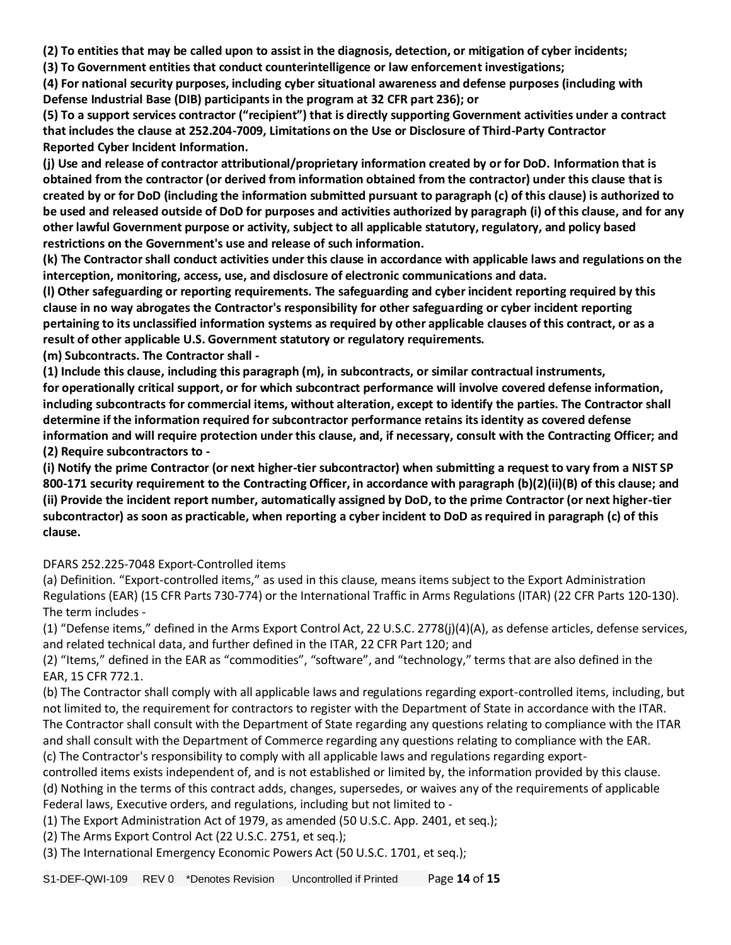**(2) To entities that may be called upon to assist in the diagnosis, detection, or mitigation of cyber incidents;**

**(3) To Government entities that conduct counterintelligence or law enforcement investigations;**

**(4) For national security purposes, including cyber situational awareness and defense purposes (including with Defense Industrial Base (DIB) participants in the program at [32 CFR part 236\)](https://www.law.cornell.edu/cfr/text/32/part-236); or**

**(5) To a support services contractor ("recipient") that is directly supporting Government activities under a contract that includes the clause at 252.204-7009, Limitations on the Use or Disclosure of Third-Party Contractor Reported [Cyber Incident](https://www.law.cornell.edu/definitions/index.php?width=840&height=800&iframe=true&def_id=b7d9c7dc0ac6883f0e6039f5bc1f541e&term_occur=999&term_src=Title:48:Chapter:2:Subchapter:H:Part:252:Subpart:252.2:252.204-7012) Information.**

**(j) Use and release of contractor attributional/proprietary information created by or for DoD. Information that is obtained from the contractor (or derived from information obtained from the contractor) under this clause that is created by or for DoD (including the information submitted pursuant to paragraph (c) of this clause) is authorized to be used and released outside of DoD for purposes and activities authorized by paragraph (i) of this clause, and for any other lawful Government purpose or activity, subject to all applicable statutory, regulatory, and policy based restrictions on the Government's use and release of such information.**

**(k) The Contractor shall conduct activities under this clause in accordance with applicable laws and regulations on the interception, monitoring, access, use, and disclosure of electronic communications and data.**

**(l) Other safeguarding or reporting requirements. The safeguarding and [cyber incident](https://www.law.cornell.edu/definitions/index.php?width=840&height=800&iframe=true&def_id=b7d9c7dc0ac6883f0e6039f5bc1f541e&term_occur=999&term_src=Title:48:Chapter:2:Subchapter:H:Part:252:Subpart:252.2:252.204-7012) reporting required by this clause in no way abrogates the Contractor's responsibility for other safeguarding or [cyber incident](https://www.law.cornell.edu/definitions/index.php?width=840&height=800&iframe=true&def_id=b7d9c7dc0ac6883f0e6039f5bc1f541e&term_occur=999&term_src=Title:48:Chapter:2:Subchapter:H:Part:252:Subpart:252.2:252.204-7012) reporting pertaining to its unclassified [information systems](https://www.law.cornell.edu/definitions/index.php?width=840&height=800&iframe=true&def_id=c76de9a4a94bd12f4e5da571621e8fa1&term_occur=999&term_src=Title:48:Chapter:2:Subchapter:H:Part:252:Subpart:252.2:252.204-7012) as required by other applicable clauses of this contract, or as a result of other applicable U.S. Government statutory or regulatory requirements.**

**(m) Subcontracts. The Contractor shall -**

**(1) Include this clause, including this paragraph (m), in subcontracts, or similar contractual instruments, for [operationally critical support,](https://www.law.cornell.edu/definitions/index.php?width=840&height=800&iframe=true&def_id=fafc96e44071cc909220d36aef14bcaa&term_occur=999&term_src=Title:48:Chapter:2:Subchapter:H:Part:252:Subpart:252.2:252.204-7012) or for which [subcontract](https://www.law.cornell.edu/definitions/index.php?width=840&height=800&iframe=true&def_id=d7808dffbced772fa6297dcc2e796ed1&term_occur=999&term_src=Title:48:Chapter:2:Subchapter:H:Part:252:Subpart:252.2:252.204-7012) performance will involve [covered defense information,](https://www.law.cornell.edu/definitions/index.php?width=840&height=800&iframe=true&def_id=84989fda9e016c08a3be260ac6e7bb78&term_occur=999&term_src=Title:48:Chapter:2:Subchapter:H:Part:252:Subpart:252.2:252.204-7012) including [subcontracts](https://www.law.cornell.edu/definitions/index.php?width=840&height=800&iframe=true&def_id=d7808dffbced772fa6297dcc2e796ed1&term_occur=999&term_src=Title:48:Chapter:2:Subchapter:H:Part:252:Subpart:252.2:252.204-7012) for commercial items, without alteration, except to identify the parties. The Contractor shall determine if the information required for [subcontractor](https://www.law.cornell.edu/definitions/index.php?width=840&height=800&iframe=true&def_id=bb834b05637361336f3b7baebb30e00b&term_occur=999&term_src=Title:48:Chapter:2:Subchapter:H:Part:252:Subpart:252.2:252.204-7012) performance retains its identity as [covered defense](https://www.law.cornell.edu/definitions/index.php?width=840&height=800&iframe=true&def_id=84989fda9e016c08a3be260ac6e7bb78&term_occur=999&term_src=Title:48:Chapter:2:Subchapter:H:Part:252:Subpart:252.2:252.204-7012)  [information](https://www.law.cornell.edu/definitions/index.php?width=840&height=800&iframe=true&def_id=84989fda9e016c08a3be260ac6e7bb78&term_occur=999&term_src=Title:48:Chapter:2:Subchapter:H:Part:252:Subpart:252.2:252.204-7012) and will require protection under this clause, and, if necessary, consult with the Contracting Officer; and (2) Require [subcontractors](https://www.law.cornell.edu/definitions/index.php?width=840&height=800&iframe=true&def_id=bb834b05637361336f3b7baebb30e00b&term_occur=999&term_src=Title:48:Chapter:2:Subchapter:H:Part:252:Subpart:252.2:252.204-7012) to -**

**(i) Notify the prime Contractor (or next higher-tier subcontractor) when submitting a request to vary from a NIST SP 800-171 security requirement to the Contracting Officer, in accordance with paragraph (b)(2)(ii)(B) of this clause; and (ii) Provide the incident report number, automatically assigned by DoD, to the prime Contractor (or next higher-tier subcontractor) as soon as practicable, when reporting a [cyber incident](https://www.law.cornell.edu/definitions/index.php?width=840&height=800&iframe=true&def_id=b7d9c7dc0ac6883f0e6039f5bc1f541e&term_occur=999&term_src=Title:48:Chapter:2:Subchapter:H:Part:252:Subpart:252.2:252.204-7012) to DoD as required in paragraph (c) of this clause.**

#### DFARS 252.225-7048 Export-Controlled items

(a) Definition. "Export-controlled [items](https://www.law.cornell.edu/definitions/index.php?width=840&height=800&iframe=true&def_id=9f1a663007e7a282a7257646796e6600&term_occur=999&term_src=Title:48:Chapter:2:Subchapter:H:Part:252:Subpart:252.2:252.225-7048)," as used in this clause, means [items](https://www.law.cornell.edu/definitions/index.php?width=840&height=800&iframe=true&def_id=9f1a663007e7a282a7257646796e6600&term_occur=999&term_src=Title:48:Chapter:2:Subchapter:H:Part:252:Subpart:252.2:252.225-7048) subject to the Export Administration Regulations (EAR) [\(15](https://www.law.cornell.edu/cfr/text/15) CFR Parts [730](https://www.law.cornell.edu/cfr/text/15/part-730)[-774\)](https://www.law.cornell.edu/cfr/text/15/part-774) or the International Traffic in Arms Regulations (ITAR) [\(22](https://www.law.cornell.edu/cfr/text/22) CFR Parts [120](https://www.law.cornell.edu/cfr/text/22/part-120)[-130\)](https://www.law.cornell.edu/cfr/text/22/part-130). The term includes -

(1) "Defense items," defined in the [Arms Export Control Act,](https://www.law.cornell.edu/topn/arms_export_control_act) [22 U.S.C. 2778\(j\)\(4\)\(A\),](https://www.law.cornell.edu/uscode/text/22/2778#j_4_A) as defense articles, defense services, and related [technical data,](https://www.law.cornell.edu/definitions/index.php?width=840&height=800&iframe=true&def_id=3b441dd08f401241f97808f8ac8aeaa5&term_occur=999&term_src=Title:48:Chapter:2:Subchapter:H:Part:252:Subpart:252.2:252.225-7048) and further defined in the ITAR, [22 CFR Part 120;](https://www.law.cornell.edu/cfr/text/22/part-120) and

(2) "Items," defined in the EAR as "commodities", "software", and "technology," terms that are also defined in the EAR, [15 CFR 772.1.](https://www.law.cornell.edu/cfr/text/15/772.1)

(b) The Contractor shall comply with all applicable laws and regulations regarding export-controlled items, including, but not limited to, the requirement for contractors to register with the Department of State in accordance with the ITAR. The Contractor shall consult with the Department of State regarding any questions relating to compliance with the ITAR and shall consult with the Department of Commerce regarding any questions relating to compliance with the EAR. (c) The Contractor's responsibility to comply with all applicable laws and regulations regarding export-

controlled [items](https://www.law.cornell.edu/definitions/index.php?width=840&height=800&iframe=true&def_id=9f1a663007e7a282a7257646796e6600&term_occur=999&term_src=Title:48:Chapter:2:Subchapter:H:Part:252:Subpart:252.2:252.225-7048) exists independent of, and is not established or limited by, the information provided by this clause. (d) Nothing in the terms of this contract adds, changes, supersedes, or waives any of the requirements of applicable Federal laws, Executive orders, and regulations, including but not limited to -

(1) The [Export Administration Act of 1979,](https://www.law.cornell.edu/topn/export_administration_act_of_1979) as amended [\(50 U.S.C. App.](https://www.law.cornell.edu/uscode/text/50a) 2401, et seq.);

(2) The [Arms Export Control Act](https://www.law.cornell.edu/topn/arms_export_control_act) [\(22 U.S.C. 2751,](https://www.law.cornell.edu/uscode/text/22/2751) et seq.);

(3) The [International Emergency Economic Powers Act](https://www.law.cornell.edu/topn/international_emergency_economic_powers_act) [\(50 U.S.C. 1701,](https://www.law.cornell.edu/uscode/text/50/1701) et seq.);